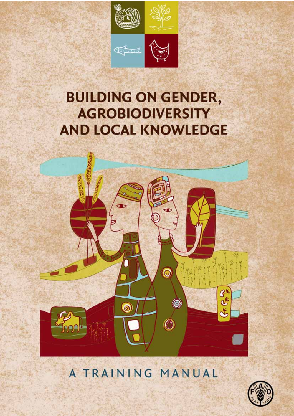

# **BUILDING ON GENDER, AGROBIODIVERSITY AND LOCAL KNOWLEDGE**



# A TRAINING MANUAL

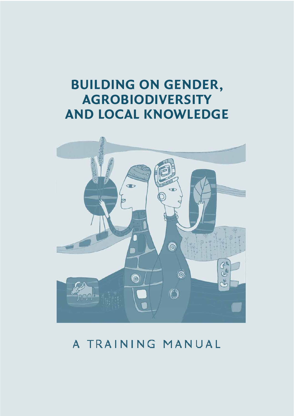# **BUILDING ON GENDER, AGROBIODIVERSITY AND LOCAL KNOWLEDGE**



# A TRAINING MANUAL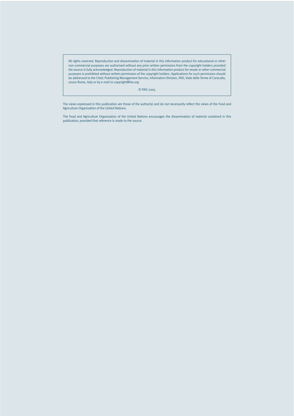All rights reserved. Reproduction and dissemination of material in this information product for educational or other non-commercial purposes are authorized without any prior written permission from the copyright holders provided the source is fully acknowledged. Reproduction of material in this information product for resale or other commercial purposes is prohibited without written permission of the copyright holders. Applications for such permission should be addressed to the Chief, Publishing Management Service, Information Division, FAO, Viale delle Terme di Caracalla, 00100 Rome, Italy or by e-mail to copyright@fao.org

© FAO 2005

The views expressed in this publication are those of the author(s) and do not necessarily reflect the views of the Food and Agriculture Organization of the United Nations.

The Food and Agriculture Organization of the United Nations encourages the dissemination of material contained in this publication, provided that reference is made to the source.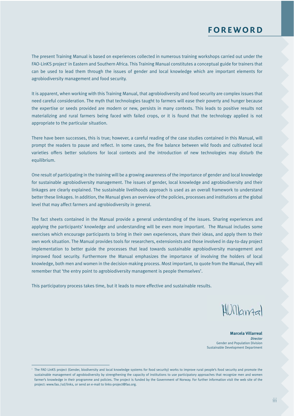The present Training Manual is based on experiences collected in numerous training workshops carried out under the FAO-LinKS project<sup>1</sup> in Eastern and Southern Africa. This Training Manual constitutes a conceptual guide for trainers that can be used to lead them through the issues of gender and local knowledge which are important elements for agrobiodiversity management and food security.

It is apparent, when working with this Training Manual, that agrobiodiversity and food security are complex issues that need careful consideration. The myth that technologies taught to farmers will ease their poverty and hunger because the expertise or seeds provided are modern or new, persists in many contexts. This leads to positive results not materializing and rural farmers being faced with failed crops, or it is found that the technology applied is not appropriate to the particular situation.

There have been successes, this is true; however, a careful reading of the case studies contained in this Manual, will prompt the readers to pause and reflect. In some cases, the fine balance between wild foods and cultivated local varieties offers better solutions for local contexts and the introduction of new technologies may disturb the equilibrium.

One result of participating in the training will be a growing awareness of the importance of gender and local knowledge for sustainable agrobiodiversity management. The issues of gender, local knowledge and agrobiodiversity and their linkages are clearly explained. The sustainable livelihoods approach is used as an overall framework to understand better these linkages. In addition, the Manual gives an overview of the policies, processes and institutions at the global level that may affect farmers and agrobiodiversity in general.

The fact sheets contained in the Manual provide a general understanding of the issues. Sharing experiences and applying the participants' knowledge and understanding will be even more important. The Manual includes some exercises which encourage participants to bring in their own experiences, share their ideas, and apply them to their own work situation. The Manual provides tools for researchers, extensionists and those involved in day-to-day project implementation to better guide the processes that lead towards sustainable agrobiodiversity management and improved food security. Furthermore the Manual emphasizes the importance of involving the holders of local knowledge, both men and women in the decision-making process. Most important, to quote from the Manual, they will remember that 'the entry point to agrobiodiversity management is people themselves'.

This participatory process takes time, but it leads to more effective and sustainable results.

Willamal

**Marcela Villarreal** *Director* Gender and Population Division Sustainable Development Department

<sup>&</sup>lt;sup>1</sup> The FAO LinKS project (Gender, biodiversity and local knowledge systems for food security) works to improve rural people's food security and promote the sustainable management of agrobiodiversity by strengthening the capacity of institutions to use participatory approaches that recognize men and women farmer's knowledge in their programme and policies. The project is funded by the Government of Norway. For further information visit the web site of the project: www.fao./sd/links, or send an e-mail to links-project@fao.org.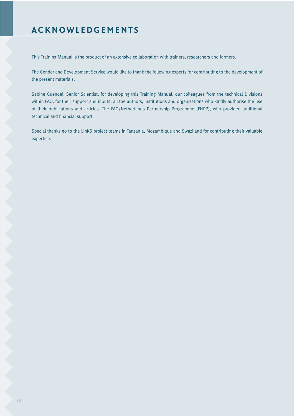## **ACKNOWLEDGEMENTS**

This Training Manual is the product of an extensive collaboration with trainers, researchers and farmers.

The Gender and Development Service would like to thank the following experts for contributing to the development of the present materials.

Sabine Guendel, Senior Scientist, for developing this Training Manual; our colleagues from the technical Divisions within FAO, for their support and inputs; all the authors, institutions and organizations who kindly authorise the use of their publications and articles. The FAO/Netherlands Partnership Programme (FNPP), who provided additional technical and financial support.

Special thanks go to the LinKS project teams in Tanzania, Mozambique and Swaziland for contributing their valuable expertise.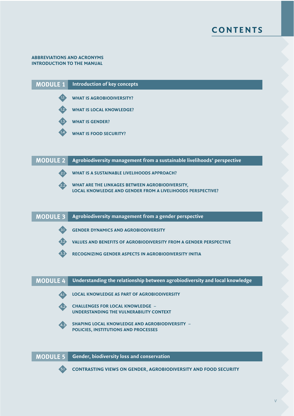

#### **ABBREVIATIONS AND ACRONYMS INTRODUCTION TO THE MANUAL**





#### **MODULE 2 Agrobiodiversity management from a sustainable livelihoods' perspective**

2.1

**WHAT IS A SUSTAINABLE LIVELIHOODS APPROACH?**

**WHAT ARE THE LINKAGES BETWEEN AGROBIODIVERSITY, LOCAL KNOWLEDGE AND GENDER FROM A LIVELIHOODS PERSPECTIVE?** 2.2

#### **MODULE 3 Agrobiodiversity management from a gender perspective**

3.1

**GENDER DYNAMICS AND AGROBIODIVERSITY**

**VALUES AND BENEFITS OF AGROBIODIVERSITY FROM A GENDER PERSPECTIVE** 3.2

**RECOGNIZING GENDER ASPECTS IN AGROBIODIVERSITY INITIA** 3.3

#### **MODULE 4 Understanding the relationship between agrobiodiversity and local knowledge**

- **LOCAL KNOWLEDGE AS PART OF AGROBIODIVERSITY** 4.1
- 4.2
- **CHALLENGES FOR LOCAL KNOWLEDGE – UNDERSTANDING THE VULNERABILITY CONTEXT**
- 4.3

**SHAPING LOCAL KNOWLEDGE AND AGROBIODIVERSITY – POLICIES, INSTITUTIONS AND PROCESSES**

**MODULE 5 Gender, biodiversity loss and conservation**



**CONTRASTING VIEWS ON GENDER, AGROBIODIVERSITY AND FOOD SECURITY** 5.1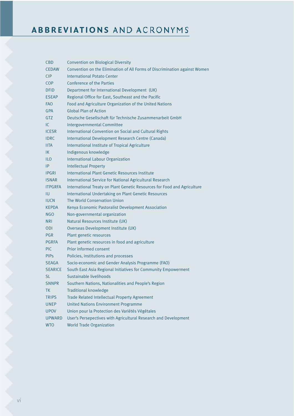# **ABBREVIATIONS AND ACRONYMS**

| CBD            | <b>Convention on Biological Diversity</b>                                  |  |  |  |
|----------------|----------------------------------------------------------------------------|--|--|--|
| <b>CEDAW</b>   | Convention on the Elimination of All Forms of Discrimination against Women |  |  |  |
| <b>CIP</b>     | International Potato Center                                                |  |  |  |
| <b>COP</b>     | Conference of the Parties                                                  |  |  |  |
| <b>DFID</b>    | Department for International Development (UK)                              |  |  |  |
| <b>ESEAP</b>   | Regional Office for East, Southeast and the Pacific                        |  |  |  |
| <b>FAO</b>     | Food and Agriculture Organization of the United Nations                    |  |  |  |
| <b>GPA</b>     | <b>Global Plan of Action</b>                                               |  |  |  |
| <b>GTZ</b>     | Deutsche Gesellschaft für Technische Zusammenarbeit GmbH                   |  |  |  |
| IC.            | Intergovernmental Committee                                                |  |  |  |
| <b>ICESR</b>   | International Convention on Social and Cultural Rights                     |  |  |  |
| <b>IDRC</b>    | International Development Research Centre (Canada)                         |  |  |  |
| <b>IITA</b>    | International Institute of Tropical Agriculture                            |  |  |  |
| IK             | Indigenous knowledge                                                       |  |  |  |
| ILO            | <b>International Labour Organization</b>                                   |  |  |  |
| IP             | <b>Intellectual Property</b>                                               |  |  |  |
| <b>IPGRI</b>   | International Plant Genetic Resources Institute                            |  |  |  |
| <b>ISNAR</b>   | International Service for National Agricultural Research                   |  |  |  |
| <b>ITPGRFA</b> | International Treaty on Plant Genetic Resources for Food and Agriculture   |  |  |  |
| IU             | International Undertaking on Plant Genetic Resources                       |  |  |  |
| <b>IUCN</b>    | The World Conservation Union                                               |  |  |  |
| <b>KEPDA</b>   | Kenya Economic Pastoralist Development Association                         |  |  |  |
| NGO            | Non-governmental organization                                              |  |  |  |
| <b>NRI</b>     | Natural Resources Institute (UK)                                           |  |  |  |
| <b>ODI</b>     | Overseas Development Institute (UK)                                        |  |  |  |
| PGR            | Plant genetic resources                                                    |  |  |  |
| <b>PGRFA</b>   | Plant genetic resources in food and agriculture                            |  |  |  |
| <b>PIC</b>     | Prior informed consent                                                     |  |  |  |
| <b>PIPS</b>    | Policies, institutions and processes                                       |  |  |  |
| <b>SEAGA</b>   | Socio-economic and Gender Analysis Programme (FAO)                         |  |  |  |
| <b>SEARICE</b> | South East Asia Regional Initiatives for Community Empowerment             |  |  |  |
| SL             | Sustainable livelihoods                                                    |  |  |  |
| <b>SNNPR</b>   | Southern Nations, Nationalities and People's Region                        |  |  |  |
| <b>TK</b>      | <b>Traditional knowledge</b>                                               |  |  |  |
| <b>TRIPS</b>   | Trade Related Intellectual Property Agreement                              |  |  |  |
| <b>UNEP</b>    | <b>United Nations Environment Programme</b>                                |  |  |  |
| <b>UPOV</b>    | Union pour la Protection des Variétés Végétales                            |  |  |  |
| <b>UPWARD</b>  | User's Persepectives with Agricultural Research and Development            |  |  |  |
| <b>WTO</b>     | <b>World Trade Organization</b>                                            |  |  |  |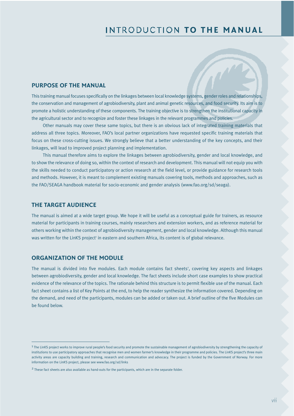## **INTRODUCTION TO THE MANUAL**

#### **PURPOSE OF THE MANUAL**

This training manual focuses specifically on the linkages between local knowledge systems, gender roles and relationships, the conservation and management of agrobiodiversity, plant and animal genetic resources, and food security. Its aim is to promote a holistic understanding of these components. The training objective is to strengthen the institutional capacity in the agricultural sector and to recognize and foster these linkages in the relevant programmes and policies.

Other manuals may cover these same topics, but there is an obvious lack of integrated training materials that address all three topics. Moreover, FAO's local partner organizations have requested specific training materials that focus on these cross-cutting issues. We strongly believe that a better understanding of the key concepts, and their linkages, will lead to improved project planning and implementation.

This manual therefore aims to explore the linkages between agrobiodiversity, gender and local knowledge, and to show the relevance of doing so, within the context of research and development. This manual will not equip you with the skills needed to conduct participatory or action research at the field level, or provide guidance for research tools and methods. However, it is meant to complement existing manuals covering tools, methods and approaches, such as the FAO/SEAGA handbook material for socio-economic and gender analysis (www.fao.org/sd/seaga).

#### **THE TARGET AUDIENCE**

The manual is aimed at a wide target group. We hope it will be useful as a conceptual guide for trainers, as resource material for participants in training courses, mainly researchers and extension workers, and as reference material for others working within the context of agrobiodiversity management, gender and local knowledge. Although this manual was written for the LinKS project' in eastern and southern Africa, its content is of global relevance.

#### **ORGANIZATION OF THE MODULE**

The manual is divided into five modules. Each module contains fact sheets<sup>2</sup>, covering key aspects and linkages between agrobiodiversity, gender and local knowledge. The fact sheets include short case examples to show practical evidence of the relevance of the topics. The rationale behind this structure is to permit flexible use of the manual. Each fact sheet contains a list of Key Points at the end, to help the reader synthesize the information covered. Depending on the demand, and need of the participants, modules can be added or taken out. A brief outline of the five Modules can be found below.

<sup>1</sup> The LinKS project works to improve rural people's food security and promote the sustainable management of agrobiodiversity by strengthening the capacity of institutions to use participatory approaches that recognise men and women farmer's knowledge in their programme and policies. The LinKS project's three main activity areas are capacity building and training, research and communication and advocacy. The project is funded by the Government of Norway. For more information on the LinKS project, please see www.fao.org/sd/links

<sup>&</sup>lt;sup>2</sup> These fact sheets are also available as hand-outs for the participants, which are in the separate folder.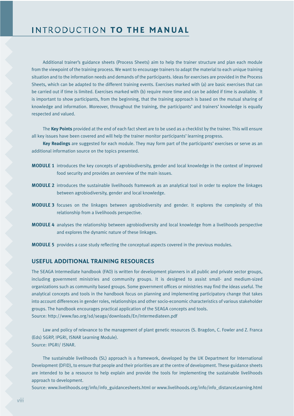Additional trainer's guidance sheets (Process Sheets) aim to help the trainer structure and plan each module from the viewpoint of the training process. We want to encourage trainers to adapt the material to each unique training situation and to the information needs and demands of the participants. Ideas for exercises are provided in the Process Sheets, which can be adapted to the different training events. Exercises marked with (a) are basic exercises that can be carried out if time is limited. Exercises marked with (b) require more time and can be added if time is available. It is important to show participants, from the beginning, that the training approach is based on the mutual sharing of knowledge and information. Moreover, throughout the training, the participants' and trainers' knowledge is equally respected and valued.

The **Key Points** provided at the end of each fact sheet are to be used as a checklist by the trainer. This will ensure all key issues have been covered and will help the trainer monitor participants' learning progress.

**Key Readings** are suggested for each module. They may form part of the participants' exercises or serve as an additional information source on the topics presented.

- **MODULE 1** introduces the key concepts of agrobiodiversity, gender and local knowledge in the context of improved food security and provides an overview of the main issues.
- **MODULE 2** introduces the sustainable livelihoods framework as an analytical tool in order to explore the linkages between agrobiodiversity, gender and local knowledge.
- **MODULE 3** focuses on the linkages between agrobiodiversity and gender. It explores the complexity of this relationship from a livelihoods perspective.
- **MODULE 4** analyses the relationship between agrobiodiversity and local knowledge from a livelihoods perspective and explores the dynamic nature of these linkages.
- **MODULE 5** provides a case study reflecting the conceptual aspects covered in the previous modules.

#### **USEFUL ADDITIONAL TRAINING RESOURCES**

The SEAGA Intermediate handbook (FAO) is written for development planners in all public and private sector groups, including government ministries and community groups. It is designed to assist small- and medium-sized organizations such as community based groups. Some government offices or ministries may find the ideas useful. The analytical concepts and tools in the handbook focus on planning and implementing participatory change that takes into account differences in gender roles, relationships and other socio-economic characteristics of various stakeholder groups. The handbook encourages practical application of the SEAGA concepts and tools. Source: http://www.fao.org/sd/seaga/downloads/En/Intermediateen.pdf

Law and policy of relevance to the management of plant genetic resources (S. Bragdon, C. Fowler and Z. Franca (Eds) SGRP, IPGRI, ISNAR Learning Module). Source: IPGRI/ ISNAR.

The sustainable livelihoods (SL) approach is a framework, developed by the UK Department for International Development (DFID), to ensure that people and their priorities are at the centre of development. These guidance sheets are intended to be a resource to help explain and provide the tools for implementing the sustainable livelihoods approach to development.

Source: www.livelihoods.org/info/info\_guidancesheets.html or www.livelihoods.org/info/info\_distanceLearning.html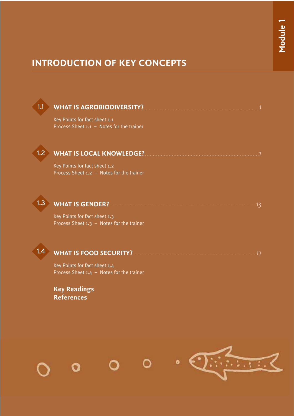## **INTRODUCTION OF KEY CONCEPTS**

#### **WHAT IS AGROBIODIVERSITY?** . . . . . . . . . . . . . . . . . . . . . . . . . . . . . . . . . . . . . . . . . . . . . . . . . . . . . . . . . . . . . . . . . . . . . . . . .1 1.1

Key Points for fact sheet 1.1 Process Sheet 1.1 – Notes for the trainer

#### **WHAT IS LOCAL KNOWLEDGE?** . . . . . . . . . . . . . . . . . . . . . . . . . . . . . . . . . . . . . . . . . . . . . . . . . . . . . . . . . . . . . . . . . . . . . . . .7  $1.2 \rightarrow$

Key Points for fact sheet 1.2 Process Sheet 1.2 – Notes for the trainer



### **WHAT IS GENDER?** . . . . . . . . . . . . . . . . . . . . . . . . . . . . . . . . . . . . . . . . . . . . . . . . . . . . . . . . . . . . . . . . . . . . . . . . . . . . . . . . . . . . . . . . . . . . .13

Key Points for fact sheet 1.3 Process Sheet 1.3 – Notes for the trainer



### **WHAT IS FOOD SECURITY?** . . . . . . . . . . . . . . . . . . . . . . . . . . . . . . . . . . . . . . . . . . . . . . . . . . . . . . . . . . . . . . . . . . . . . . . . . . . . . .17

Key Points for fact sheet 1.4 Process Sheet 1.4 – Notes for the trainer

**Key Readings References**

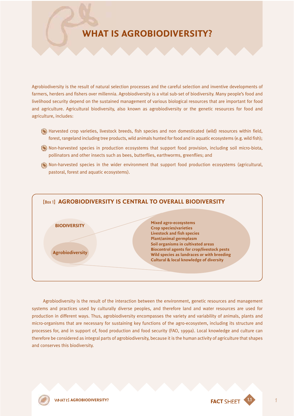## **WHAT IS AGROBIODIVERSITY?**

Agrobiodiversity is the result of natural selection processes and the careful selection and inventive developments of farmers, herders and fishers over millennia. Agrobiodiversity is a vital sub-set of biodiversity. Many people's food and livelihood security depend on the sustained management of various biological resources that are important for food and agriculture. Agricultural biodiversity, also known as agrobiodiversity or the genetic resources for food and agriculture, includes:

- Harvested crop varieties, livestock breeds, fish species and non domesticated (wild) resources within field, forest, rangeland including tree products, wild animals hunted for food and in aquatic ecosystems (e.g. wild fish);
- Non-harvested species in production ecosystems that support food provision, including soil micro-biota, pollinators and other insects such as bees, butterflies, earthworms, greenflies; and
- Non-harvested species in the wider environment that support food production ecosystems (agricultural, pastoral, forest and aquatic ecosystems).



Agrobiodiversity is the result of the interaction between the environment, genetic resources and management systems and practices used by culturally diverse peoples, and therefore land and water resources are used for production in different ways. Thus, agrobiodiversity encompasses the variety and variability of animals, plants and micro-organisms that are necessary for sustaining key functions of the agro-ecosystem, including its structure and processes for, and in support of, food production and food security (FAO, 1999a). Local knowledge and culture can therefore be considered as integral parts of agrobiodiversity, because it is the human activity of agriculture that shapes and conserves this biodiversity.

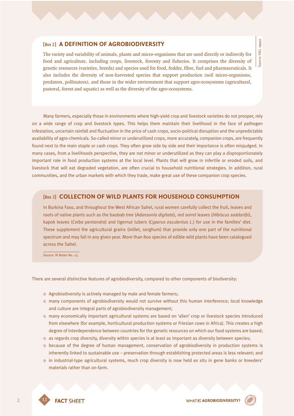#### [Box 2] **A DEFINITION OF AGROBIODIVERSITY**

The variety and variability of animals, plants and micro-organisms that are used directly or indirectly for food and agriculture, including crops, livestock, forestry and fisheries. It comprises the diversity of genetic resources (varieties, breeds) and species used for food, fodder, fibre, fuel and pharmaceuticals. It also includes the diversity of non-harvested species that support production (soil micro-organisms, predators, pollinators), and those in the wider environment that support agro-ecosystems (agricultural, pastoral, forest and aquatic) as well as the diversity of the agro-ecosystems.

Many farmers, especially those in environments where high-yield crop and livestock varieties do not prosper, rely on a wide range of crop and livestock types. This helps them maintain their livelihood in the face of pathogen infestation, uncertain rainfall and fluctuation in the price of cash crops, socio-political disruption and the unpredictable availability of agro-chemicals. So-called minor or underutilized crops, more accurately, companion crops, are frequently found next to the main staple or cash crops. They often grow side by side and their importance is often misjudged. In many cases, from a livelihoods perspective, they are not minor or underutilized as they can play a disproportionately important role in food production systems at the local level. Plants that will grow in infertile or eroded soils, and livestock that will eat degraded vegetation, are often crucial to household nutritional strategies. In addition, rural communities, and the urban markets with which they trade, make great use of these companion crop species.

#### [Box 3] **COLLECTION OF WILD PLANTS FOR HOUSEHOLD CONSUMPTION**

In Burkina Faso, and throughout the West African Sahel, rural women carefully collect the fruit, leaves and roots of native plants such as the baobab tree (*Adansonia digitata*), red sorrel leaves (*Hibiscus saddarifa*), kapok leaves (*Ceiba pentandra*) and tigernut tubers (*Cyperus esculentus L*.) for use in the families' diet. These supplement the agricultural grains (millet, sorghum) that provide only one part of the nutritional spectrum and may fail in any given year. More than 800 species of edible wild plants have been catalogued across the Sahel.

Source: IK Notes No. 23.

There are several distinctive features of agrobiodiversity, compared to other components of biodiversity:

- ≠ Agrobiodiversity is actively managed by male and female farmers;
- ≠ many components of agrobiodiversity would not survive without this human interference; local knowledge and culture are integral parts of agrobiodiversity management;
- ≠ many economically important agricultural systems are based on 'alien' crop or livestock species introduced from elsewhere (for example, horticultural production systems or Friesian cows in Africa). This creates a high degree of interdependence between countries for the genetic resources on which our food systems are based;
- ≠ as regards crop diversity, diversity within species is at least as important as diversity between species;
- ≠ because of the degree of human management, conservation of agrobiodiversity in production systems is inherently linked to sustainable use – preservation through establishing protected areas is less relevant; and
- ≠ in industrial-type agricultural systems, much crop diversity is now held *ex situ* in gene banks or breeders' materials rather than on-farm.

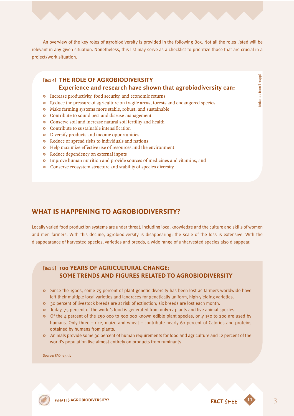An overview of the key roles of agrobiodiversity is provided in the following Box. Not all the roles listed will be relevant in any given situation. Nonetheless, this list may serve as a checklist to prioritize those that are crucial in a project/work situation.

#### [Box 4] **THE ROLE OF AGROBIODIVERSITY Experience and research have shown that agrobiodiversity can:**

- Increase productivity, food security, and economic returns
- Reduce the pressure of agriculture on fragile areas, forests and endangered species
- <sup>®</sup> Make farming systems more stable, robust, and sustainable
- Contribute to sound pest and disease management
- <sup>®</sup> Conserve soil and increase natural soil fertility and health
- Contribute to sustainable intensification
- Diversify products and income opportunities
- Reduce or spread risks to individuals and nations
- <sup>®</sup> Help maximize effective use of resources and the environment
- Reduce dependency on external inputs
- Improve human nutrition and provide sources of medicines and vitamins, and
- <sup>®</sup> Conserve ecosystem structure and stability of species diversity.

### **WHAT IS HAPPENING TO AGROBIODIVERSITY?**

Locally varied food production systems are under threat, including local knowledge and the culture and skills of women and men farmers. With this decline, agrobiodiversity is disappearing; the scale of the loss is extensive. With the disappearance of harvested species, varieties and breeds, a wide range of unharvested species also disappear.

### [Box 5] **100 YEARS OF AGRICULTURAL CHANGE: SOME TRENDS AND FIGURES RELATED TO AGROBIODIVERSITY**

- <sup>3</sup> Since the 1900s, some 75 percent of plant genetic diversity has been lost as farmers worldwide have left their multiple local varieties and landraces for genetically uniform, high-yielding varieties.
- <sup>3</sup> 30 percent of livestock breeds are at risk of extinction; six breeds are lost each month.
- Today, 75 percent of the world's food is generated from only 12 plants and five animal species.
- $\bullet$  Of the 4 percent of the 250 000 to 300 000 known edible plant species, only 150 to 200 are used by humans. Only three – rice, maize and wheat – contribute nearly 60 percent of Calories and proteins obtained by humans from plants.
- \* Animals provide some 30 percent of human requirements for food and agriculture and 12 percent of the world's population live almost entirely on products from ruminants.

Source: FAO. 1999b

**AGROBIODIVERSITY? FACT** SHEFT **1.1** 3



(Adapted from Thrupp)

Adapted from Thrupp)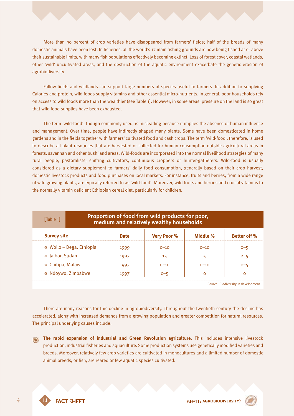More than 90 percent of crop varieties have disappeared from farmers' fields; half of the breeds of many domestic animals have been lost. In fisheries, all the world's 17 main fishing grounds are now being fished at or above their sustainable limits, with many fish populations effectively becoming extinct. Loss of forest cover, coastal wetlands, other 'wild' uncultivated areas, and the destruction of the aquatic environment exacerbate the genetic erosion of agrobiodiversity.

Fallow fields and wildlands can support large numbers of species useful to farmers. In addition to supplying Calories and protein, wild foods supply vitamins and other essential micro-nutrients. In general, poor households rely on access to wild foods more than the wealthier (see Table 1). However, in some areas, pressure on the land is so great that wild food supplies have been exhausted.

The term 'wild-food', though commonly used, is misleading because it implies the absence of human influence and management. Over time, people have indirectly shaped many plants. Some have been domesticated in home gardens and in the fields together with farmers' cultivated food and cash crops. The term 'wild-food', therefore, is used to describe all plant resources that are harvested or collected for human consumption outside agricultural areas in forests, savannah and other bush land areas. Wild-foods are incorporated into the normal livelihood strategies of many rural people, pastoralists, shifting cultivators, continuous croppers or hunter-gatherers. Wild-food is usually considered as a dietary supplement to farmers' daily food consumption, generally based on their crop harvest, domestic livestock products and food purchases on local markets. For instance, fruits and berries, from a wide range of wild growing plants, are typically referred to as 'wild-food'. Moreover, wild fruits and berries add crucial vitamins to the normally vitamin deficient Ethiopian cereal diet, particularly for children.

| Proportion of food from wild products for poor,<br>[Table 1]<br>medium and relatively wealthy households |             |                    |          |                     |  |
|----------------------------------------------------------------------------------------------------------|-------------|--------------------|----------|---------------------|--|
| <b>Survey site</b>                                                                                       | <b>Date</b> | <b>Very Poor %</b> | Middle % | <b>Better off %</b> |  |
| ◎ Wollo – Dega, Ethiopia                                                                                 | 1999        | $O-10$             | $0 - 10$ | $O - 5$             |  |
| <b>a</b> Jaibor, Sudan                                                                                   | 1997        | 15                 | 5        | $2 - 5$             |  |
| <sup>®</sup> Chitipa, Malawi                                                                             | 1997        | $0 - 10$           | $0 - 10$ | $O - 5$             |  |
| <sup>®</sup> Ndoywo, Zimbabwe                                                                            | 1997        | $O - 5$            | $\Omega$ | $\circ$             |  |

There are many reasons for this decline in agrobiodiversity. Throughout the twentieth century the decline has

accelerated, along with increased demands from a growing population and greater competition for natural resources. The principal underlying causes include:

**The rapid expansion of industrial and Green Revolution agriculture**. This includes intensive livestock  $\bullet$ production, industrial fisheries and aquaculture. Some production systems use genetically modified varieties and breeds. Moreover, relatively few crop varieties are cultivated in monocultures and a limited number of domestic animal breeds, or fish, are reared or few aquatic species cultivated.

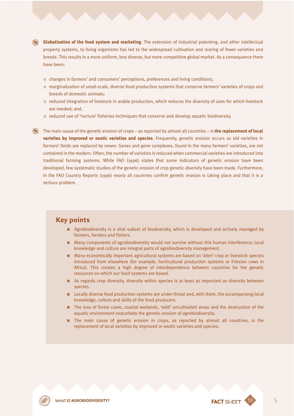**Globalization of the food system and marketing**. The extension of industrial patenting, and other intellectual property systems, to living organisms has led to the widespread cultivation and rearing of fewer varieties and breeds. This results in a more uniform, less diverse, but more competitive global market. As a consequence there have been:

- ≠ changes in farmers' and consumers' perceptions, preferences and living conditions;
- ≠ marginalization of small-scale, diverse food production systems that conserve farmers' varieties of crops and breeds of domestic animals;
- ≠ reduced integration of livestock in arable production, which reduces the diversity of uses for which livestock are needed; and,
- ≠ reduced use of 'nurture' fisheries techniques that conserve and develop aquatic biodiversity.
- The main cause of the genetic erosion of crops as reported by almost all countries is **the replacement of local varieties by improved or exotic varieties and species**. Frequently, genetic erosion occurs as old varieties in farmers' fields are replaced by newer. Genes and gene complexes, found in the many farmers' varieties, are not contained in the modern. Often, the number of varieties is reduced when commercial varieties are introduced into traditional farming systems. While FAO (1996) states that some indicators of genetic erosion have been developed, few systematic studies of the genetic erosion of crop genetic diversity have been made. Furthermore, in the FAO Country Reports (1996) nearly all countries confirm genetic erosion is taking place and that it is a serious problem.

### **Key points**

- **EXECUTE:** Agrobiodiversity is a vital subset of biodiversity, which is developed and actively managed by farmers, herders and fishers.
- **EXECTED Many components of agrobiodiversity would not survive without this human interference; local** knowledge and culture are integral parts of agrobiodiversity management.
- **EXECT:** Many economically important agricultural systems are based on 'alien' crop or livestock species introduced from elsewhere (for example, horticultural production systems or Friesian cows in Africa). This creates a high degree of interdependence between countries for the genetic resources on which our food systems are based.
- **EXECUTE:** As regards crop diversity, diversity within species is at least as important as diversity between species.
- **DEDUALLY DIVERSE FOOD PRODUCTION SYSTEMS ARE UNDER** Integral and, with them, the accompanying local knowledge, culture and skills of the food producers.
- 0 The loss of forest cover, coastal wetlands, 'wild' uncultivated areas and the destruction of the aquatic environment exacerbate the genetic erosion of agrobiodiversity.
- **n** The main cause of genetic erosion in crops, as reported by almost all countries, is the replacement of local varieties by improved or exotic varieties and species.

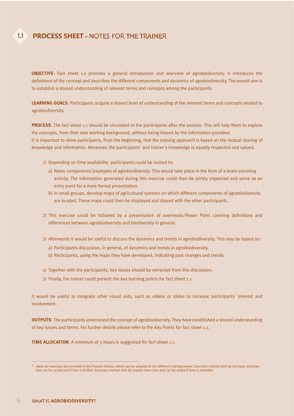### **PROCESS SHEET - NOTES FOR THE TRAINER**

1.1

**OBJECTIVE:** Fact sheet 1.1 provides a general introduction and overview of agrobiodiversity. It introduces the definitions of the concept and describes the different components and dynamics of agrobiodiversity. The overall aim is to establish a shared understanding of relevant terms and concepts among the participants.

**LEARNING GOALS**: Participants acquire a shared level of understanding of the relevant terms and concepts related to agrobiodiversity.

**PROCESS**: The fact sheet 1.1 should be circulated to the participants after the session. This will help them to explore the concepts, from their own working background, without being biased by the information provided. It is important to show participants, from the beginning, that the training approach is based on the mutual sharing of knowledge and information. Moreover, the participants' and trainer's knowledge is equally respected and valued.

- 1) Depending on time availability participants could be invited to:
	- a) Name components/examples of agrobiodiversity. This would take place in the form of a brain-storming activity. The information generated during this exercise could then be jointly organized and serve as an entry point for a more formal presentation.
	- b) In small groups, develop maps of agricultural systems on which different components of agrobiodiversity are located. These maps could then be displayed and shared with the other participants.
- 2) This exercise could be followed by a presentation of overheads/Power Point covering definitions and differences between agrobiodiversity and biodiversity in general.
- 3) Afterwards it would be useful to discuss the dynamics and trends in agrobiodiversity. This may be based on:
	- a) Participants discussion, in general, of dynamics and trends in agrobiodiversity.
	- b) Participants, using the maps they have developed, indicating past changes and trends.
- 4) Together with the participants, key issues should be extracted from this discussion.
- 5) Finally, the trainer could present the key learning points for fact sheet 1.1.

It would be useful to integrate other visual aids, such as videos or slides to increase participants' interest and involvement.

**OUTPUTS**: The participants understand the concept of agrobiodiversity. They have established a shared understanding of key issues and terms. For further details please refer to the Key Points for fact sheet 1.1.

**TIME ALLOCATION**: A minimum of 3 hours is suggested for fact sheet 1.1.

 $1$  Ideas for exercises are provided in the Process Sheets, which can be adapted to the different training events. Exercises marked with (a) are basic exercises that can be carried out if time is limited. Exercises marked with (b) require more time and can be added if time is available.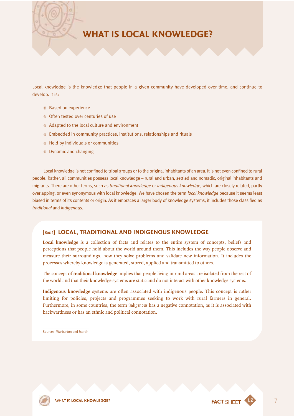

Local knowledge is the knowledge that people in a given community have developed over time, and continue to develop. It is:

- \ Based on experience
- ≠ Often tested over centuries of use
- ≠ Adapted to the local culture and environment
- ≠ Embedded in community practices, institutions, relationships and rituals
- ≠ Held by individuals or communities
- ≠ Dynamic and changing

Local knowledge is not confined to tribal groups or to the original inhabitants of an area. It is not even confined to rural people. Rather, all communities possess local knowledge – rural and urban, settled and nomadic, original inhabitants and migrants. There are other terms, such as *traditional knowledge* or *indigenous knowledge*, which are closely related, partly overlapping, or even synonymous with local knowledge. We have chosen the term *local knowledge* because it seems least biased in terms of its contents or origin. As it embraces a larger body of knowledge systems, it includes those classified as *traditional* and *indigenous*.

#### [Box 1] **LOCAL, TRADITIONAL AND INDIGENOUS KNOWLEDGE**

**Local knowledge** is a collection of facts and relates to the entire system of concepts, beliefs and perceptions that people hold about the world around them. This includes the way people observe and measure their surroundings, how they solve problems and validate new information. It includes the processes whereby knowledge is generated, stored, applied and transmitted to others.

The concept of **traditional knowledge** implies that people living in rural areas are isolated from the rest of the world and that their knowledge systems are static and do not interact with other knowledge systems.

**Indigenous knowledge** systems are often associated with indigenous people. This concept is rather limiting for policies, projects and programmes seeking to work with rural farmers in general. Furthermore, in some countries, the term *indigenous* has a negative connotation, as it is associated with backwardness or has an ethnic and political connotation.

Sources: Warburton and Martin

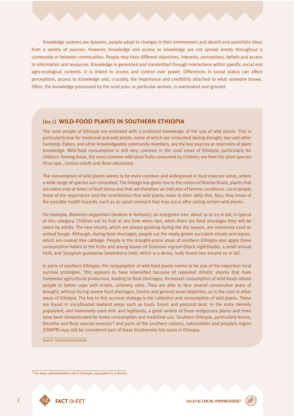Knowledge systems are dynamic, people adapt to changes in their environment and absorb and assimilate ideas from a variety of sources. However, knowledge and access to knowledge are not spread evenly throughout a community or between communities. People may have different objectives, interests, perceptions, beliefs and access to information and resources. Knowledge is generated and transmitted through interactions within specific social and agro-ecological contexts. It is linked to access and control over power. Differences in social status can affect perceptions, access to knowledge and, crucially, the importance and credibility attached to what someone knows. Often, the knowledge possessed by the rural poor, in particular women, is overlooked and ignored.

#### [Box 2] **WILD-FOOD PLANTS IN SOUTHERN ETHIOPIA**

The rural people of Ethiopia are endowed with a profound knowledge of the use of wild plants. This is particularly true for medicinal and wild plants, some of which are consumed during drought, war and other hardship. Elders, and other knowledgeable community members, are the key sources or reservoirs of plant knowledge. Wild-food consumption is still very common in the rural areas of Ethiopia, particularly for children. Among these, the most common wild plant fruits consumed by children, are from the plant species *Ficus spp*., *Carissa edulis* and *Rosa abyssinica*.

The consumption of wild plants seems to be more common and widespread in food insecure areas, where a wide range of species are consumed. The linkage has given rise to the notion of famine-foods, plants that are eaten only at times of food stress and that are therefore an indicator of famine conditions. Local people know of the importance and the contribution that wild plants make to their daily diet. Also, they know of the possible health hazards, such as an upset stomach that may occur after eating certain wild plants.

For example, *Balanites aegyptiaca* (*bedena* in Amharic), an evergreen tree, about 10 to 20 m tall, is typical of this category. Children eat its fruit at any time when ripe, when there are food shortages they will be eaten by adults. The new shoots, which are always growing during the dry season, are commonly used as animal forage. Although, during food shortages, people cut the newly grown succulent shoots and leaves, which are cooked like cabbage. People in the drought-prone areas of southern Ethiopia also apply these consumption habits to the fruits and young leaves of *Solanium nigrum* (black nightshade), a small annual herb, and *Syzygium guineense* (waterberry tree), which is a dense, leafy forest tree around 20 m tall.

In parts of southern Ethiopia, the consumption of wild-food plants seems to be one of the important local survival strategies. This appears to have intensified because of repeated climatic shocks that have hampered agricultural production, leading to food shortages. Increased consumption of wild-foods allows people to better cope with erratic, untimely rains. They are able to face several consecutive years of drought, without facing severe food shortages, famine and general asset depletion, as is the case in other areas of Ethiopia. The key to this survival strategy is the collection and consumption of wild plants. These are found in uncultivated lowland areas such as bush, forest and pastoral land. In the more densely populated, and intensively used mid- and highlands, a great variety of these indigenous plants and trees have been domesticated for home consumption and medicinal use. Southern Ethiopia, particularly Konso, Derashe and Burji special *weredas*1 and parts of the southern nations, nationalities and people's region (SNNPR) may still be considered part of these biodiversity hot-spots in Ethiopia.

Source: Guinand and Lemessa

1 The basic administration unit in Ethiopia, equivalent to a district.



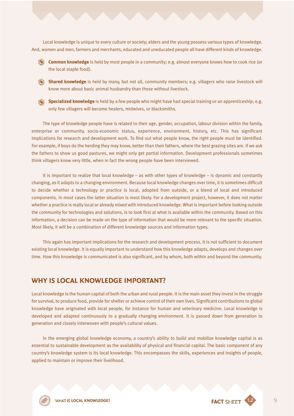Local knowledge is unique to every culture or society; elders and the young possess various types of knowledge. And, women and men, farmers and merchants, educated and uneducated people all have different kinds of knowledge.

- **Common knowledge** is held by most people in a community; e.g. almost everyone knows how to cook rice (or the local staple food).
- **Shared knowledge** is held by many, but not all, community members; e.g. villagers who raise livestock will know more about basic animal husbandry than those without livestock.
- **Specialized knowledge** is held by a few people who might have had special training or an apprenticeship; e.g. only few villagers will become healers, midwives, or blacksmiths.

The type of knowledge people have is related to their age, gender, occupation, labour division within the family, enterprise or community, socio-economic status, experience, environment, history, etc. This has significant implications for research and development work. To find out what people know, the right people must be identified. For example, if boys do the herding they may know, better than their fathers, where the best grazing sites are. If we ask the fathers to show us good pastures, we might only get partial information. Development professionals sometimes think villagers know very little, when in fact the wrong people have been interviewed.

It is important to realize that local knowledge – as with other types of knowledge – is dynamic and constantly changing, as it adapts to a changing environment. Because local knowledge changes over time, it is sometimes difficult to decide whether a technology or practice is local, adopted from outside, or a blend of local and introduced components. In most cases the latter situation is most likely. For a development project, however, it does not matter whether a practice is really local or already mixed with introduced knowledge. What is important before looking outside the community for technologies and solutions, is to look first at what is available within the community. Based on this information, a decision can be made on the type of information that would be more relevant to the specific situation. Most likely, it will be a combination of different knowledge sources and information types.

This again has important implications for the research and development process. It is not sufficient to document existing local knowledge. It is equally important to understand how this knowledge adapts, develops and changes over time. How this knowledge is communicated is also significant, and by whom, both within and beyond the community.

### **WHY IS LOCAL KNOWLEDGE IMPORTANT?**

Local knowledge is the human capital of both the urban and rural people. It is the main asset they invest in the struggle for survival, to produce food, provide for shelter or achieve control of their own lives. Significant contributions to global knowledge have originated with local people, for instance for human and veterinary medicine. Local knowledge is developed and adapted continuously to a gradually changing environment. It is passed down from generation to generation and closely interwoven with people's cultural values.

In the emerging global knowledge economy, a country's ability to build and mobilize knowledge capital is as essential to sustainable development as the availability of physical and financial capital. The basic component of any country's knowledge system is its local knowledge. This encompasses the skills, experiences and insights of people, applied to maintain or improve their livelihood.

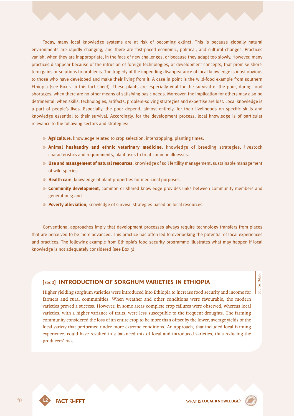Today, many local knowledge systems are at risk of becoming extinct. This is because globally natural environments are rapidly changing, and there are fast-paced economic, political, and cultural changes. Practices vanish, when they are inappropriate, in the face of new challenges, or because they adapt too slowly. However, many practices disappear because of the intrusion of foreign technologies, or development concepts, that promise shortterm gains or solutions to problems. The tragedy of the impending disappearance of local knowledge is most obvious to those who have developed and make their living from it. A case in point is the wild-food example from southern Ethiopia (see Box 2 in this fact sheet). These plants are especially vital for the survival of the poor, during food shortages, when there are no other means of satisfying basic needs. Moreover, the implication for others may also be detrimental, when skills, technologies, artifacts, problem-solving strategies and expertise are lost. Local knowledge is a part of people's lives. Especially, the poor depend, almost entirely, for their livelihoods on specific skills and knowledge essential to their survival. Accordingly, for the development process, local knowledge is of particular relevance to the following sectors and strategies:

- **<b> Agriculture**, knowledge related to crop selection, intercropping, planting times.
- ≠ **Animal husbandry and ethnic veterinary medicine**, knowledge of breeding strategies, livestock characteristics and requirements, plant uses to treat common illnesses.
- ≠ **Use and management of natural resources**, knowledge of soil fertility management, sustainable management of wild species.
- ≠ **Health care**, knowledge of plant properties for medicinal purposes.
- ≠ **Community development**, common or shared knowledge provides links between community members and generations; and
- ≠ **Poverty alleviation**, knowledge of survival strategies based on local resources.

Conventional approaches imply that development processes always require technology transfers from places that are perceived to be more advanced. This practice has often led to overlooking the potential of local experiences and practices. The following example from Ethiopia's food security programme illustrates what may happen if local knowledge is not adequately considered (see Box 3).

#### [Box 3] **INTRODUCTION OF SORGHUM VARIETIES IN ETHIOPIA**

Higher yielding sorghum varieties were introduced into Ethiopia to increase food security and income for farmers and rural communities. When weather and other conditions were favourable, the modern varieties proved a success. However, in some areas complete crop failures were observed, whereas local varieties, with a higher variance of traits, were less susceptible to the frequent droughts. The farming community considered the loss of an entire crop to be more than offset by the lower, average yields of the local variety that performed under more extreme conditions. An approach, that included local farming experience, could have resulted in a balanced mix of local and introduced varieties, thus reducing the producers' risk.

source: Oduol Source: Oduol

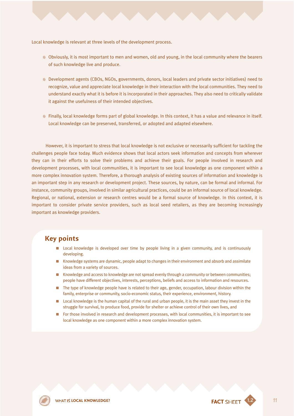Local knowledge is relevant at three levels of the development process.

- ≠ Obviously, it is most important to men and women, old and young, in the local community where the bearers of such knowledge live and produce.
- ≠ Development agents (CBOs, NGOs, governments, donors, local leaders and private sector initiatives) need to recognize, value and appreciate local knowledge in their interaction with the local communities. They need to understand exactly what it is before it is incorporated in their approaches. They also need to critically validate it against the usefulness of their intended objectives.
- ≠ Finally, local knowledge forms part of global knowledge. In this context, it has a value and relevance in itself. Local knowledge can be preserved, transferred, or adopted and adapted elsewhere.

However, it is important to stress that local knowledge is not exclusive or necessarily sufficient for tackling the challenges people face today. Much evidence shows that local actors seek information and concepts from wherever they can in their efforts to solve their problems and achieve their goals. For people involved in research and development processes, with local communities, it is important to see local knowledge as one component within a more complex innovation system. Therefore, a thorough analysis of existing sources of information and knowledge is an important step in any research or development project. These sources, by nature, can be formal and informal. For instance, community groups, involved in similar agricultural practices, could be an informal source of local knowledge. Regional, or national, extension or research centres would be a formal source of knowledge. In this context, it is important to consider private service providers, such as local seed retailers, as they are becoming increasingly important as knowledge providers.

### **Key points**

- **D** Local knowledge is developed over time by people living in a given community, and is continuously developing.
- **EXECT ADDET SYSTEMS** Are dynamic, people adapt to changes in their environment and absorb and assimilate ideas from a variety of sources.
- **DENT Knowledge and access to knowledge are not spread evenly through a community or between communities;** people have different objectives, interests, perceptions, beliefs and access to information and resources.
- **n** The type of knowledge people have is related to their age, gender, occupation, labour division within the family, enterprise or community, socio-economic status, their experience, environment, history.
- **D** Local knowledge is the human capital of the rural and urban people, it is the main asset they invest in the struggle for survival, to produce food, provide for shelter or achieve control of their own lives, and
- $\blacksquare$  For those involved in research and development processes, with local communities, it is important to see local knowledge as one component within a more complex innovation system.



**FACT SHEET** 1.2 11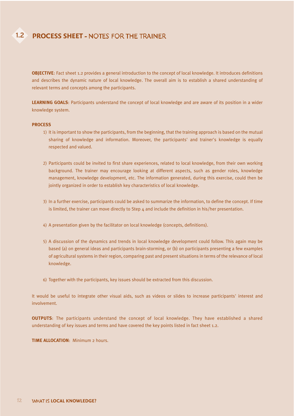#### 1.2 **PROCESS SHEET**

**OBJECTIVE**: Fact sheet 1.2 provides a general introduction to the concept of local knowledge. It introduces definitions and describes the dynamic nature of local knowledge. The overall aim is to establish a shared understanding of relevant terms and concepts among the participants.

**LEARNING GOALS**: Participants understand the concept of local knowledge and are aware of its position in a wider knowledge system.

#### **PROCESS**

- 1) It is important to show the participants, from the beginning, that the training approach is based on the mutual sharing of knowledge and information. Moreover, the participants' and trainer's knowledge is equally respected and valued.
- 2) Participants could be invited to first share experiences, related to local knowledge, from their own working background. The trainer may encourage looking at different aspects, such as gender roles, knowledge management, knowledge development, etc. The information generated, during this exercise, could then be jointly organized in order to establish key characteristics of local knowledge.
- 3) In a further exercise, participants could be asked to summarize the information, to define the concept. If time is limited, the trainer can move directly to Step  $4$  and include the definition in his/her presentation.
- 4) A presentation given by the facilitator on local knowledge (concepts, definitions).
- 5) A discussion of the dynamics and trends in local knowledge development could follow. This again may be based (a) on general ideas and participants brain-storming, or (b) on participants presenting a few examples of agricultural systems in their region, comparing past and present situations in terms of the relevance of local knowledge.
- 6) Together with the participants, key issues should be extracted from this discussion.

It would be useful to integrate other visual aids, such as videos or slides to increase participants' interest and involvement.

**OUTPUTS**: The participants understand the concept of local knowledge. They have established a shared understanding of key issues and terms and have covered the key points listed in fact sheet 1.2.

**TIME ALLOCATION**: Minimum 2 hours.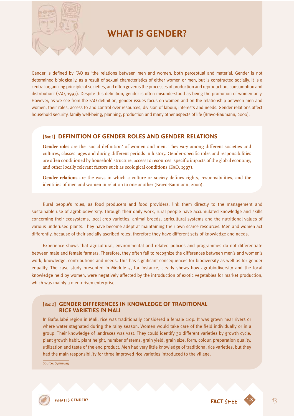## **WHAT IS GENDER?**

Gender is defined by FAO as 'the relations between men and women, both perceptual and material. Gender is not determined biologically, as a result of sexual characteristics of either women or men, but is constructed socially. It is a central organizing principle of societies, and often governs the processes of production and reproduction, consumption and distribution' (FAO, 1997). Despite this definition, gender is often misunderstood as being the promotion of women only. However, as we see from the FAO definition, gender issues focus on women and on the relationship between men and women, their roles, access to and control over resources, division of labour, interests and needs. Gender relations affect household security, family well-being, planning, production and many other aspects of life (Bravo-Baumann, 2000).

#### [Box 1] **DEFINITION OF GENDER ROLES AND GENDER RELATIONS**

**Gender roles** are the 'social definition' of women and men. They vary among different societies and cultures, classes, ages and during different periods in history. Gender-specific roles and responsibilities are often conditioned by household structure, access to resources, specific impacts of the global economy, and other locally relevant factors such as ecological conditions (FAO, 1997).

**Gender relations** are the ways in which a culture or society defines rights, responsibilities, and the identities of men and women in relation to one another (Bravo-Baumann, 2000).

Rural people's roles, as food producers and food providers, link them directly to the management and sustainable use of agrobiodiversity. Through their daily work, rural people have accumulated knowledge and skills concerning their ecosystems, local crop varieties, animal breeds, agricultural systems and the nutritional values of various underused plants. They have become adept at maintaining their own scarce resources. Men and women act differently, because of their socially ascribed roles; therefore they have different sets of knowledge and needs.

Experience shows that agricultural, environmental and related policies and programmes do not differentiate between male and female farmers. Therefore, they often fail to recognize the differences between men's and women's work, knowledge, contributions and needs. This has significant consequences for biodiversity as well as for gender equality. The case study presented in Module 5, for instance, clearly shows how agrobiodiversity and the local knowledge held by women, were negatively affected by the introduction of exotic vegetables for market production, which was mainly a men-driven enterprise.

#### [Box 2] **GENDER DIFFERENCES IN KNOWLEDGE OF TRADITIONAL RICE VARIETIES IN MALI**

In Bafoulabé region in Mali, rice was traditionally considered a female crop. It was grown near rivers or where water stagnated during the rainy season. Women would take care of the field individually or in a group. Their knowledge of landraces was vast. They could identify 30 different varieties by growth cycle, plant growth habit, plant height, number of stems, grain yield, grain size, form, colour, preparation quality, utilization and taste of the end product. Men had very little knowledge of traditional rice varieties, but they had the main responsibility for three improved rice varieties introduced to the village.

Source: Synnevag

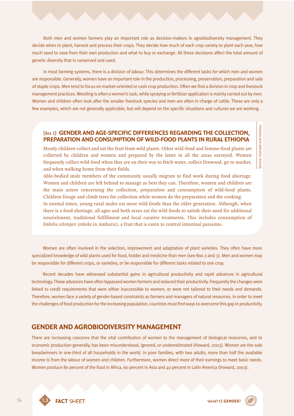Both men and women farmers play an important role as decision-makers in agrobiodiversity management. They decide when to plant, harvest and process their crops. They decide how much of each crop variety to plant each year, how much seed to save from their own production and what to buy or exchange. All these decisions affect the total amount of genetic diversity that is conserved and used.

In most farming systems, there is a division of labour. This determines the different tasks for which men and women are responsible. Generally, women have an important role in the production, processing, preservation, preparation and sale of staple crops. Men tend to focus on market-oriented or cash crop production. Often we find a division in crop and livestock management practices. Weeding is often a women's task, while spraying or fertilizer application is mainly carried out by men. Women and children often look after the smaller livestock species and men are often in charge of cattle. These are only a few examples, which are not generally applicable, but will depend on the specific situations and cultures we are working.

#### [Box 3] **GENDER AND AGE-SPECIFIC DIFFERENCES REGARDING THE COLLECTION, PREPARATION AND CONSUMPTION OF WILD-FOOD PLANTS IN RURAL ETHIOPIA**

Mostly children collect and eat the fruit from wild plants. Other wild-food and famine-food plants are collected by children and women and prepared by the latter in all the areas surveyed. Women frequently collect wild-food when they are on their way to fetch water, collect firewood, go to market, and when walking home from their fields.

Able-bodied male members of the community usually migrate to find work during food shortage. Women and children are left behind to manage as best they can. Therefore, women and children are the main actors concerning the collection, preparation and consumption of wild-food plants. Children forage and climb trees for collection while women do the preparation and the cooking. In normal times, young rural males eat more wild foods than the older generation. Although, when there is a food shortage, all ages and both sexes eat the wild foods to satisfy their need for additional nourishment, traditional fulfillment and local curative treatments. This includes consumption of *Embelia schimperi* (*enkoko* in Amharic), a fruit that is eaten to control intestinal parasites.

Women are often involved in the selection, improvement and adaptation of plant varieties. They often have more specialized knowledge of wild plants used for food, fodder and medicine than men (see Box 2 and 3). Men and women may be responsible for different crops, or varieties, or be responsible for different tasks related to one crop.

Recent decades have witnessed substantial gains in agricultural productivity and rapid advances in agricultural technology. These advances have often bypassed women farmers and reduced their productivity. Frequently the changes were linked to credit requirements that were either inaccessible to women, or were not tailored to their needs and demands. Therefore, women face a variety of gender-based constraints as farmers and managers of natural resources. In order to meet the challenges of food production for the increasing population, countries must find ways to overcome this gap in productivity.

#### **GENDER AND AGROBIODIVERSITY MANAGEMENT**

There are increasing concerns that the vital contribution of women to the management of biological resources, and to economic production generally, has been misunderstood, ignored, or underestimated (Howard, 2003). Women are the sole breadwinners in one-third of all households in the world. In poor families, with two adults, more than half the available income is from the labour of women and children. Furthermore, women direct more of their earnings to meet basic needs. Women produce 80 percent of the food in Africa, 60 percent in Asia and 40 percent in Latin America (Howard, 2003).

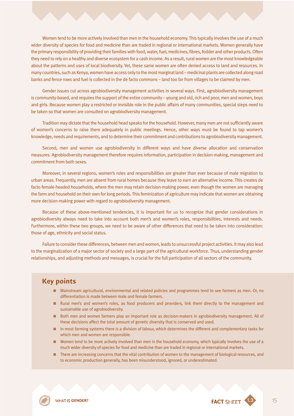Women tend to be more actively involved than men in the household economy. This typically involves the use of a much wider diversity of species for food and medicine than are traded in regional or international markets. Women generally have the primary responsibility of providing their families with food, water, fuel, medicines, fibres, fodder and other products. Often they need to rely on a healthy and diverse ecosystem for a cash income. As a result, rural women are the most knowledgeable about the patterns and uses of local biodiversity. Yet, these same women are often denied access to land and resources. In many countries, such as Kenya, women have access only to the most marginal land – medicinal plants are collected along road banks and fence rows and fuel is collected in the de facto commons – land too far from villages to be claimed by men.

Gender issues cut across agrobiodiversity management activities in several ways. First, agrobiodiversity management is community-based, and requires the support of the entire community – young and old, rich and poor, men and women, boys and girls. Because women play a restricted or invisible role in the public affairs of many communities, special steps need to be taken so that women are consulted on agrobiodiversity management.

Tradition may dictate that the household head speaks for the household. However, many men are not sufficiently aware of women's concerns to raise them adequately in public meetings. Hence, other ways must be found to tap women's knowledge, needs and requirements, and to determine their commitment and contributions to agrobiodiversity management.

Second, men and women use agrobiodiversity in different ways and have diverse allocation and conservation measures. Agrobiodiversity management therefore requires information, participation in decision-making, management and commitment from both sexes.

Moreover, in several regions, women's roles and responsibilities are greater than ever because of male migration to urban areas. Frequently, men are absent from rural homes because they leave to earn an alternative income. This creates de facto female-headed households, where the men may retain decision-making power, even though the women are managing the farm and household on their own for long periods. This feminization of agriculture may indicate that women are obtaining more decision-making power with regard to agrobiodiversity management.

Because of these above-mentioned tendencies, it is important for us to recognize that gender considerations in agrobiodiversity always need to take into account both men's and women's roles, responsibilities, interests and needs. Furthermore, within these two groups, we need to be aware of other differences that need to be taken into consideration: those of age, ethnicity and social status.

Failure to consider these differences, between men and women, leads to unsuccessful project activities. It may also lead to the marginalization of a major sector of society and a large part of the agricultural workforce. Thus, understanding gender relationships, and adjusting methods and messages, is crucial for the full participation of all sectors of the community.

#### **Key points**

- 0 Mainstream agricultural, environmental and related policies and programmes tend to see farmers as men. Or, no differentiation is made between male and female farmers.
- **E** Rural men's and women's roles, as food producers and providers, link them directly to the management and sustainable use of agrobiodiversity.
- **B** Both men and women farmers play an important role as decision-makers in agrobiodiversity management. All of these decisions affect the total amount of genetic diversity that is conserved and used.
- In most farming systems there is a division of labour, which determines the different and complementary tasks for which men and women are responsible.
- **D** Women tend to be more actively involved than men in the household economy, which typically involves the use of a much wider diversity of species for food and medicine than are traded in regional or international markets.
- **D** There are increasing concerns that the vital contribution of women to the management of biological resources, and to economic production generally, has been misunderstood, ignored, or underestimated.

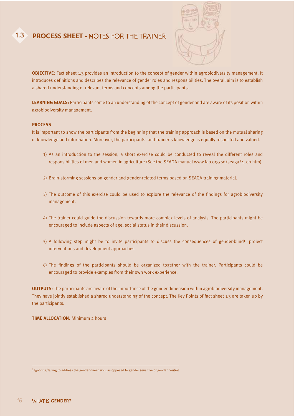#### 1.3 **PROCESS SHEET - NOTES FOR THE TRAINER**



**OBJECTIVE:** Fact sheet 1.3 provides an introduction to the concept of gender within agrobiodiversity management. It introduces definitions and describes the relevance of gender roles and responsibilities. The overall aim is to establish a shared understanding of relevant terms and concepts among the participants.

**LEARNING GOALS:** Participants come to an understanding of the concept of gender and are aware of its position within agrobiodiversity management.

#### **PROCESS**

It is important to show the participants from the beginning that the training approach is based on the mutual sharing of knowledge and information. Moreover, the participants' and trainer's knowledge is equally respected and valued.

- 1) As an introduction to the session, a short exercise could be conducted to reveal the different roles and responsibilities of men and women in agriculture (See the SEAGA manual www.fao.org/sd/seaga/4\_en.htm).
- 2) Brain-storming sessions on gender and gender-related terms based on SEAGA training material.
- 3) The outcome of this exercise could be used to explore the relevance of the findings for agrobiodiversity management.
- 4) The trainer could guide the discussion towards more complex levels of analysis. The participants might be encouraged to include aspects of age, social status in their discussion.
- $5)$  A following step might be to invite participants to discuss the consequences of gender-blind<sup>1</sup> project interventions and development approaches.
- 6) The findings of the participants should be organized together with the trainer. Participants could be encouraged to provide examples from their own work experience.

**OUTPUTS**: The participants are aware of the importance of the gender dimension within agrobiodiversity management. They have jointly established a shared understanding of the concept. The Key Points of fact sheet 1.3 are taken up by the participants.

**TIME ALLOCATION**: Minimum 2 hours

<sup>&</sup>lt;sup>1</sup> Ignoring/failing to address the gender dimension, as opposed to gender sensitive or gender neutral.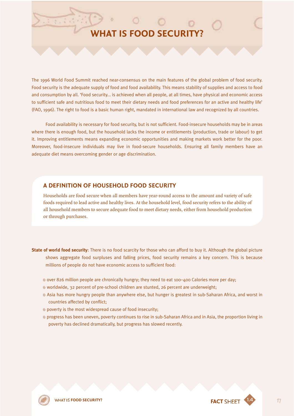## **WHAT IS FOOD SECURITY?**

The 1996 World Food Summit reached near-consensus on the main features of the global problem of food security. Food security is the adequate supply of food and food availability. This means stability of supplies and access to food and consumption by all. 'Food security... is achieved when all people, at all times, have physical and economic access to sufficient safe and nutritious food to meet their dietary needs and food preferences for an active and healthy life' (FAO, 1996). The right to food is a basic human right, mandated in international law and recognized by all countries.

Food availability is necessary for food security, but is not sufficient. Food-insecure households may be in areas where there is enough food, but the household lacks the income or entitlements (production, trade or labour) to get it. Improving entitlements means expanding economic opportunities and making markets work better for the poor. Moreover, food-insecure individuals may live in food-secure households. Ensuring all family members have an adequate diet means overcoming gender or age discrimination.

#### **A DEFINITION OF HOUSEHOLD FOOD SECURITY**

Households are food secure when all members have year-round access to the amount and variety of safe foods required to lead active and healthy lives. At the household level, food security refers to the ability of all household members to secure adequate food to meet dietary needs, either from household production or through purchases.

**State of world food security**: There is no food scarcity for those who can afford to buy it. Although the global picture shows aggregate food surpluses and falling prices, food security remains a key concern. This is because millions of people do not have economic access to sufficient food:

- ≠ over 826 million people are chronically hungry; they need to eat 100–400 Calories more per day;
- ≠ worldwide, 32 percent of pre-school children are stunted, 26 percent are underweight;
- ≠ Asia has more hungry people than anywhere else, but hunger is greatest in sub-Saharan Africa, and worst in countries affected by conflict;
- ≠ poverty is the most widespread cause of food insecurity;
- ≠ progress has been uneven, poverty continues to rise in sub-Saharan Africa and in Asia, the proportion living in poverty has declined dramatically, but progress has slowed recently.



**FOOD SECURITY? FOOD SECURITY? FACT SHEET**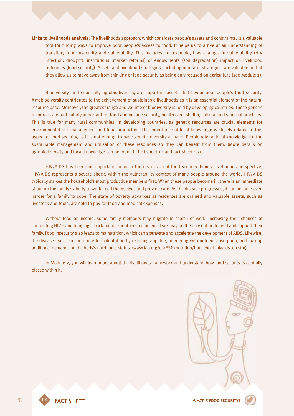**Links to livelihoods analysis:** The livelihoods approach, which considers people's assets and constraints, is a valuable tool for finding ways to improve poor people's access to food. It helps us to arrive at an understanding of transitory food insecurity and vulnerability. This includes, for example, how changes in vulnerability (HIV infection, drought), institutions (market reforms) or endowments (soil degradation) impact on livelihood outcomes (food security). Assets and livelihood strategies, including non-farm strategies, are valuable in that they allow us to move away from thinking of food security as being only focused on agriculture (see Module 2).

Biodiversity, and especially agrobiodiversity, are important assets that favour poor people's food security. Agrobiodiversity contributes to the achievement of sustainable livelihoods as it is an essential element of the natural resource base. Moreover, the greatest range and volume of biodiversity is held by developing countries. These genetic resources are particularly important for food and income security, health care, shelter, cultural and spiritual practices. This is true for many rural communities, in developing countries, as genetic resources are crucial elements for environmental risk management and food production. The importance of local knowledge is closely related to this aspect of food security, as it is not enough to have genetic diversity at hand. People rely on local knowledge for the sustainable management and utilization of these resources so they can benefit from them. (More details on agrobiodiversity and local knowledge can be found in fact sheet 1.1 and fact sheet 1.2).

HIV/AIDS has been one important factor in the discussion of food security. From a livelihoods perspective, HIV/AIDS represents a severe shock, within the vulnerability context of many people around the world. HIV/AIDS typically strikes the household's most productive members first. When these people become ill, there is an immediate strain on the family's ability to work, feed themselves and provide care. As the disease progresses, it can become even harder for a family to cope. The state of poverty advances as resources are drained and valuable assets, such as livestock and tools, are sold to pay for food and medical expenses.

Without food or income, some family members may migrate in search of work, increasing their chances of contracting HIV – and bringing it back home. For others, commercial sex may be the only option to feed and support their family. Food insecurity also leads to malnutrition, which can aggravate and accelerate the development of AIDS. Likewise, the disease itself can contribute to malnutrition by reducing appetite, interfering with nutrient absorption, and making additional demands on the body's nutritional status. (www.fao.org/es/ESN/nutrition/household hivaids en.stm)

In Module 2, you will learn more about the livelihoods framework and understand how food security is centrally placed within it.



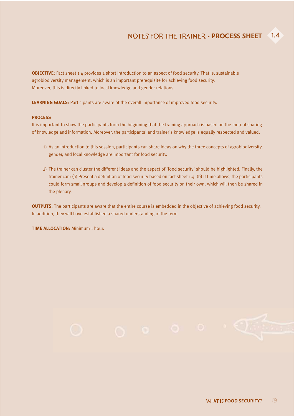**OBJECTIVE:** Fact sheet 1.4 provides a short introduction to an aspect of food security. That is, sustainable agrobiodiversity management, which is an important prerequisite for achieving food security. Moreover, this is directly linked to local knowledge and gender relations.

**LEARNING GOALS**: Participants are aware of the overall importance of improved food security.

#### **PROCESS**

It is important to show the participants from the beginning that the training approach is based on the mutual sharing of knowledge and information. Moreover, the participants' and trainer's knowledge is equally respected and valued.

- 1) As an introduction to this session, participants can share ideas on why the three concepts of agrobiodiversity, gender, and local knowledge are important for food security.
- 2) The trainer can cluster the different ideas and the aspect of 'food security' should be highlighted. Finally, the trainer can: (a) Present a definition of food security based on fact sheet 1.4. (b) If time allows, the participants could form small groups and develop a definition of food security on their own, which will then be shared in the plenary.

**OUTPUTS**: The participants are aware that the entire course is embedded in the objective of achieving food security. In addition, they will have established a shared understanding of the term.

**TIME ALLOCATION**: Minimum 1 hour.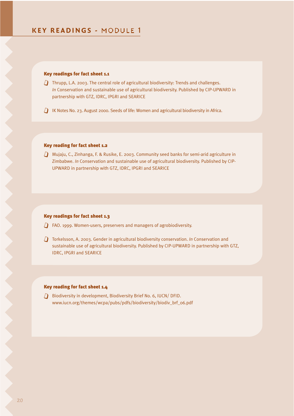#### Key readings for fact sheet 1.1

- $\Box$  Thrupp, L.A. 2003. The central role of agricultural biodiversity: Trends and challenges. *In* Conservation and sustainable use of agricultural biodiversity. Published by CIP-UPWARD in partnership with GTZ, IDRC, IPGRI and SEARICE
- $j$  IK Notes No. 23. August 2000. Seeds of life: Women and agricultural biodiversity in Africa.

#### Key reading for fact sheet 1.2

 $j$  Mujaju, C., Zinhanga, F. & Rusike, E. 2003. Community seed banks for semi-arid agriculture in Zimbabwe. *In* Conservation and sustainable use of agricultural biodiversity. Published by CIP-UPWARD in partnership with GTZ, IDRC, IPGRI and SEARICE

#### Key readings for fact sheet 1.3

- $\Box$  FAO. 1999. Women-users, preservers and managers of agrobiodiversity.
- j Torkelsson, A. 2003. Gender in agricultural biodiversity conservation. *In* Conservation and sustainable use of agricultural biodiversity. Published by CIP-UPWARD in partnership with GTZ, IDRC, IPGRI and SEARICE

#### Key reading for fact sheet 1.4

**J** Biodiversity in development, Biodiversity Brief No. 6, IUCN/ DFID. www.iucn.org/themes/wcpa/pubs/pdfs/biodiversity/biodiv\_brf\_06.pdf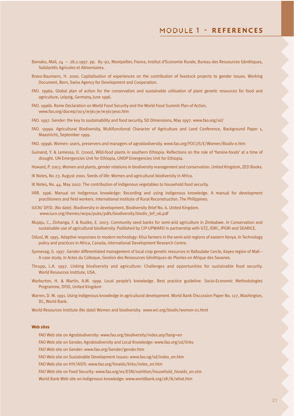- Bamako, Mali, 24 28.2.1997. pp. 85–92, Montpellier, France, Institut d'Economie Rurale, Bureau des Ressources Génétiques, Solidarités Agricoles et Alimentaires.
- Bravo-Baumann, H. 2000. Capitalisation of experiences on the contribution of livestock projects to gender issues. Working Document, Bern, Swiss Agency for Development and Cooperation.
- FAO. 1996a. Global plan of action for the conservation and sustainable utilisation of plant genetic resources for food and agriculture, Leipzig, Germany, June 1996.
- FAO. 1996b. Rome Declaration on World Food Security and the World Food Summit Plan of Action, www.fao.org/docrep/003/w3613e/w3613e00.htm
- FAO. 1997. Gender: the key to sustainability and food security, SD Dimensions, May 1997. www.fao.org/sd/
- FAO. 1999a. Agricultural Biodiversity, Multifunctional Character of Agriculture and Land Conference, Background Paper 1, Maastricht, September 1999.
- FAO. 1999b. Women: users, preservers and managers of agrobiodiversity. www.fao.org/FOCUS/E/Women/Biodiv-e.htm
- Guinand, Y. & Lemessa, D. (2000), Wild-food plants in southern Ethiopia: Reflections on the role of 'famine-foods' at a time of drought. UN-Emergencies Unit for Ethiopia, UNDP Emergencies Unit for Ethiopia.
- Howard, P. 2003. Women and plants, gender relations in biodiversity management and conservation. United Kingdom, ZED Books.
- IK Notes, No 23. August 2000. Seeds of life: Women and agricultural biodiversity in Africa.
- IK Notes, No. 44. May 2002. The contribution of indigenous vegetables to household food security.
- IIRR. 1996. Manual on Indigenous knowledge: Recording and using indigenous knowledge. A manual for development practitioners and field workers. International Institute of Rural Reconstruction. The Philippines.
- IUCN/ DFID. (No date). Biodiversity in development, Biodiversity Brief No. 6. United Kingdom. www.iucn.org/themes/wcpa/pubs/pdfs/biodiversity/biodiv\_brf\_06.pdf
- Mujaju, C., Zinhanga, F. & Rusike, E. 2003. Community seed banks for semi-arid agriculture in Zimbabwe. *In* Conservation and sustainable use of agricultural biodiversity. Published by CIP-UPWARD in partnership with GTZ, IDRC, IPGRI and SEARICE.
- Oduol, W. 1995. Adaptive responses to modern technology: Kitui farmers in the semi-arid regions of eastern Kenya. *In* Technology policy and practices in Africa, Canada, International Development Research Centre.
- Synnevag, G. 1997. Gender differentiated management of local crop genetic resources in Bafoulabe Cercle, Kayes region of Mali A case study. *In* Actes du Colloque, Gestion des Ressources Génétiques de Plantes en Afrique des Savanes.
- Thrupp, L.A. 1997. Linking biodiversity and agriculture: Challenges and opportunities for sustainable food security. World Resources Institute, USA.
- Warburton, H. & Martin, A.M. 1999. Local people's knowledge. Best practice guideline. Socio-Economic Methodologies Programme, DFID, United Kingdom
- Warren, D. M. 1991. Using indigenous knowledge in agricultural development. World Bank Discussion Paper No. 127, Washington, DC, World Bank.

World Resources Institute (No date) Women and biodiversity. www.wri.org/biodiv/women-01.html

#### **Web sites**

- FAO Web site on Agrobiodiversity: www.fao.org/biodiversity/index.asp?lang=en
- FAO Web site on Gender, Agrobiodiversity and Local Knowledge: www.fao.org/sd/links
- FAO Web site on Gender: www.fao.org/Gender/gender.htm
- FAO Web site on Sustainable Development issues: www.fao.og/sd/index\_en.htm
- FAO Web site on HIV/AIDS: www.fao.org/hivaids/links/index\_en.htm
- FAO Web site on Food Security: www.fao.org/es/ESN/nutrition/household\_hivaids\_en.stm
- World Bank Web site on indigenous knowledge: www.worldbank.org/afr/ik/what.htm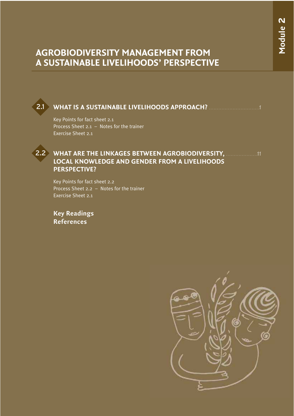## **AGROBIODIVERSITY MANAGEMENT FROM A SUSTAINABLE LIVELIHOODS' PERSPECTIVE**

### **WHAT IS A SUSTAINABLE LIVELIHOODS APPROACH?** . . . . . . . . . . . . . . . . . . . . . . . . . . . . . . . .1

Key Points for fact sheet 2.1 Process Sheet 2.1 – Notes for the trainer Exercise Sheet 2.1



2.1

### **WHAT ARE THE LINKAGES BETWEEN AGROBIODIVERSITY, ..................... 11 LOCAL KNOWLEDGE AND GENDER FROM A LIVELIHOODS PERSPECTIVE?**

Key Points for fact sheet 2.2 Process Sheet 2.2 – Notes for the trainer Exercise Sheet 2.1

**Key Readings References**

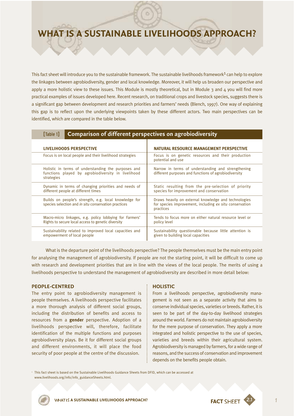## **WHAT IS A SUSTAINABLE LIVELIHOODS APPROACH?**

This fact sheet will introduce you to the sustainable framework. The sustainable livelihoods framework<sup>1</sup> can help to explore the linkages between agrobiodiversity, gender and local knowledge. Moreover, it will help us broaden our perspective and apply a more holistic view to these issues. This Module is mostly theoretical, but in Module  $3$  and  $4$  you will find more practical examples of issues developed here. Recent research, on traditional crops and livestock species, suggests there is a significant gap between development and research priorities and farmers' needs (Blench, 1997). One way of explaining this gap is to reflect upon the underlying viewpoints taken by these different actors. Two main perspectives can be identified, which are compared in the table below.

| <b>Comparison of different perspectives on agrobiodiversity</b><br>[Table 1]                                            |                                                                                                                              |  |  |  |
|-------------------------------------------------------------------------------------------------------------------------|------------------------------------------------------------------------------------------------------------------------------|--|--|--|
| LIVELIHOODS PERSPECTIVE                                                                                                 | NATURAL RESOURCE MANAGEMENT PERSPECTIVE                                                                                      |  |  |  |
| Focus is on local people and their livelihood strategies                                                                | Focus is on genetic resources and their production<br>potential and use                                                      |  |  |  |
| Holistic in terms of understanding the purposes and<br>functions played by agrobiodiversity in livelihood<br>strategies | Narrow in terms of understanding and strengthening<br>different purposes and functions of agrobiodiversity                   |  |  |  |
| Dynamic in terms of changing priorities and needs of<br>different people at different times                             | Static resulting from the pre-selection of priority<br>species for improvement and conservation                              |  |  |  |
| Builds on people's strength, e.g. local knowledge for<br>species selection and in situ conservation practices           | Draws heavily on external knowledge and technologies<br>for species improvement, including ex situ conservation<br>practices |  |  |  |
| Macro-micro linkages, e.g. policy lobbying for Farmers'<br>Rights to secure local access to genetic diversity           | Tends to focus more on either natural resource level or<br>policy level                                                      |  |  |  |
| Sustainability related to improved local capacities and<br>empowerment of local people                                  | Sustainability questionable because little attention is<br>given to building local capacities                                |  |  |  |

What is the departure point of the livelihoods perspective? The people themselves must be the main entry point for analysing the management of agrobiodiversity. If people are not the starting point, it will be difficult to come up with research and development priorities that are in line with the views of the local people. The merits of using a livelihoods perspective to understand the management of agrobiodiversity are described in more detail below:

#### **PEOPLE-CENTRED**

The entry point to agrobiodiversity management is people themselves. A livelihoods perspective facilitates a more thorough analysis of different social groups, including the distribution of benefits and access to resources from a **gender** perspective. Adoption of a livelihoods perspective will, therefore, facilitate identification of the multiple functions and purposes agrobiodiversity plays. Be it for different social groups and different environments, it will place the food security of poor people at the centre of the discussion.

#### **HOLISTIC**

From a livelihoods perspective, agrobiodiversity management is not seen as a separate activity that aims to conserve individual species, varieties or breeds. Rather, it is seen to be part of the day-to-day livelihood strategies around the world. Farmers do not maintain agrobiodiversity for the mere purpose of conservation. They apply a more integrated and holistic perspective to the use of species, varieties and breeds within their agricultural system. Agrobiodiversity is managed by farmers, for a wide range of reasons, and the success of conservation and improvement depends on the benefits people obtain.

<sup>1</sup> This fact sheet is based on the Sustainable Livelihoods Guidance Sheets from DFID, which can be accessed at www.livelihoods.org/info/info\_guidanceSheets.html.



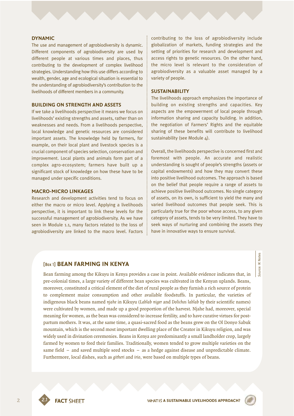#### **DYNAMIC**

The use and management of agrobiodiversity is dynamic. Different components of agrobiodiversity are used by different people at various times and places, thus contributing to the development of complex livelihood strategies. Understanding how this use differs according to wealth, gender, age and ecological situation is essential to the understanding of agrobiodiversity's contribution to the livelihoods of different members in a community.

#### **BUILDING ON STRENGTH AND ASSETS**

If we take a livelihoods perspective it means we focus on livelihoods' existing strengths and assets, rather than on weaknesses and needs. From a livelihoods perspective, local knowledge and genetic resources are considered important assets. The knowledge held by farmers, for example, on their local plant and livestock species is a crucial component of species selection, conservation and improvement. Local plants and animals form part of a complex agro-ecosystem; farmers have built up a significant stock of knowledge on how these have to be managed under specific conditions.

#### **MACRO-MICRO LINKAGES**

Research and development activities tend to focus on either the macro or micro level. Applying a livelihoods perspective, it is important to link these levels for the successful management of agrobiodiversity. As we have seen in Module 1.1, many factors related to the loss of agrobiodiversity are linked to the macro level. Factors

contributing to the loss of agrobiodiversity include globalization of markets, funding strategies and the setting of priorities for research and development and access rights to genetic resources. On the other hand, the micro level is relevant to the consideration of agrobiodiversity as a valuable asset managed by a variety of people.

#### **SUSTAINABILITY**

The livelihoods approach emphasizes the importance of building on existing strengths and capacities. Key aspects are the empowerment of local people through information sharing and capacity building. In addition, the negotiation of Farmers' Rights and the equitable sharing of these benefits will contribute to livelihood sustainability (see Module 4).

Overall, the livelihoods perspective is concerned first and foremost with people. An accurate and realistic understanding is sought of people's strengths (assets or capital endowments) and how they may convert these into positive livelihood outcomes. The approach is based on the belief that people require a range of assets to achieve positive livelihood outcomes. No single category of assets, on its own, is sufficient to yield the many and varied livelihood outcomes that people seek. This is particularly true for the poor whose access, to any given category of assets, tends to be very limited. They have to seek ways of nurturing and combining the assets they have in innovative ways to ensure survival.

#### [Box 1] **BEAN FARMING IN KENYA**

Bean farming among the Kikuyu in Kenya provides a case in point. Available evidence indicates that, in pre-colonial times, a large variety of different bean species was cultivated in the Kenyan uplands. Beans, moreover, constituted a critical element of the diet of rural people as they furnish a rich source of protein to complement maize consumption and other available foodstuffs. In particular, the varieties of indigenous black beans named *njahe* in Kikuyu (*Lablab niger* and *Dolichos lablab* by their scientific names) were cultivated by women, and made up a good proportion of the harvest. Njahe had, moreover, special meaning for women, as the bean was considered to increase fertility, and to have curative virtues for postpartum mothers. It was, at the same time, a quasi-sacred food as the beans grew on the Ol Donyo Sabuk mountain, which is the second most important dwelling place of the Creator in Kikuyu religion, and was widely used in divination ceremonies. Beans in Kenya are predominantly a small landholder crop, largely farmed by women to feed their families. Traditionally, women tended to grow multiple varieties on the same field – and saved multiple seed stocks – as a hedge against disease and unpredictable climate. Furthermore, local dishes, such as *githeri* and *irio*, were based on multiple types of beans.

2

*Source:* IK Notes

ource: IK Notes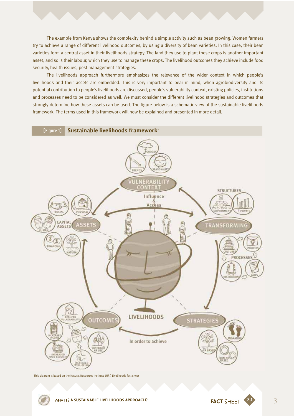The example from Kenya shows the complexity behind a simple activity such as bean growing. Women farmers try to achieve a range of different livelihood outcomes, by using a diversity of bean varieties. In this case, their bean varieties form a central asset in their livelihoods strategy. The land they use to plant these crops is another important asset, and so is their labour, which they use to manage these crops. The livelihood outcomes they achieve include food security, health issues, pest management strategies.

The livelihoods approach furthermore emphasizes the relevance of the wider context in which people's livelihoods and their assets are embedded. This is very important to bear in mind, when agrobiodiversity and its potential contribution to people's livelihoods are discussed, people's vulnerability context, existing policies, institutions and processes need to be considered as well. We must consider the different livelihood strategies and outcomes that strongly determine how these assets can be used. The figure below is a schematic view of the sustainable livelihoods framework. The terms used in this framework will now be explained and presented in more detail.



2 This diagram is based on the Natural Resources Institute (NRI) Livelihoods fact sheet



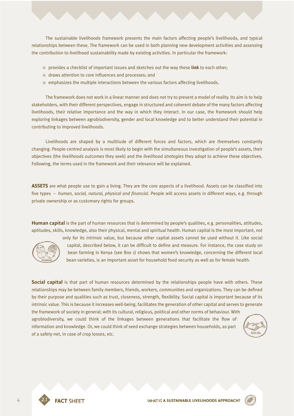The sustainable livelihoods framework presents the main factors affecting people's livelihoods, and typical relationships between these. The framework can be used in both planning new development activities and assessing the contribution to livelihood sustainability made by existing activities. In particular the framework:

- ≠ provides a checklist of important issues and sketches out the way these **link** to each other;
- ≠ draws attention to core influences and processes; and
- <sup>©</sup> emphasizes the multiple interactions between the various factors affecting livelihoods.

The framework does not work in a linear manner and does not try to present a model of reality. Its aim is to help stakeholders, with their different perspectives, engage in structured and coherent debate of the many factors affecting livelihoods, their relative importance and the way in which they interact. In our case, the framework should help exploring linkages between agrobiodiversity, gender and local knowledge and to better understand their potential in contributing to improved livelihoods.

Livelihoods are shaped by a multitude of different forces and factors, which are themselves constantly changing. People-centred analysis is most likely to begin with the simultaneous investigation of people's assets, their objectives (the *livelihoods outcomes* they seek) and the *livelihood strategies* they adopt to achieve these objectives. Following, the terms used in the framework and their relevance will be explained.

**ASSETS** are what people use to gain a living. They are the core aspects of a livelihood. Assets can be classified into five types – *human, social, natural, physical and financial*. People will access assets in different ways, e.g. through private ownership or as customary rights for groups.

**Human capital** is the part of human resources that is determined by people's qualities, e.g. personalities, attitudes, aptitudes, skills, knowledge, also their physical, mental and spiritual health. Human capital is the most important, not



only for its intrinsic value, but because other capital assets cannot be used without it. Like social capital, described below, it can be difficult to define and measure. For instance, the case study on bean farming in Kenya (see Box 1) shows that women's knowledge, concerning the different local bean varieties, is an important asset for household food security as well as for female health.

**Social capital** is that part of human resources determined by the relationships people have with others. These relationships may be between family members, friends, workers, communities and organizations. They can be defined by their purpose and qualities such as trust, closeness, strength, flexibility. Social capital is important because of its intrinsic value. This is because it increases well-being, facilitates the generation of other capital and serves to generate the framework of society in general; with its cultural, religious, political and other norms of behaviour. With agrobiodiversity, we could think of the linkages between generations that facilitate the flow of

information and knowledge. Or, we could think of seed exchange strategies between households, as part of a safety-net, in case of crop losses, etc.

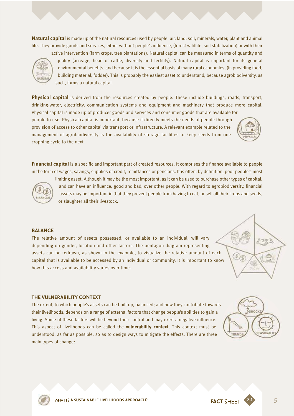**Natural capital** is made up of the natural resources used by people: air, land, soil, minerals, water, plant and animal life. They provide goods and services, either without people's influence, (forest wildlife, soil stabilization) or with their



active intervention (farm crops, tree plantations). Natural capital can be measured in terms of quantity and quality (acreage, head of cattle, diversity and fertility). Natural capital is important for its general environmental benefits, and because it is the essential basis of many rural economies, (in providing food, building material, fodder). This is probably the easiest asset to understand, because agrobiodiversity, as such, forms a natural capital.

**Physical capital** is derived from the resources created by people. These include buildings, roads, transport, drinking-water, electricity, communication systems and equipment and machinery that produce more capital. Physical capital is made up of producer goods and services and consumer goods that are available for

people to use. Physical capital is important, because it directly meets the needs of people through provision of access to other capital via transport or infrastructure. A relevant example related to the management of agrobiodiversity is the availability of storage facilities to keep seeds from one cropping cycle to the next.



**Financial capital** is a specific and important part of created resources. It comprises the finance available to people in the form of wages, savings, supplies of credit, remittances or pensions. It is often, by definition, poor people's most



limiting asset. Although it may be the most important, as it can be used to purchase other types of capital, and can have an influence, good and bad, over other people. With regard to agrobiodiversity, financial assets may be important in that they prevent people from having to eat, or sell all their crops and seeds, or slaughter all their livestock.

#### **BALANCE**

The relative amount of assets possessed, or available to an individual, will vary depending on gender, location and other factors. The pentagon diagram representing assets can be redrawn, as shown in the example, to visualize the relative amount of each capital that is available to be accessed by an individual or community. It is important to know how this access and availability varies over time.



#### **THE VULNERABILITY CONTEXT**

The extent, to which people's assets can be built up, balanced; and how they contribute towards their livelihoods, depends on a range of external factors that change people's abilities to gain a living. Some of these factors will be beyond their control and may exert a negative influence. This aspect of livelihoods can be called the **vulnerability context**. This context must be understood, as far as possible, so as to design ways to mitigate the effects. There are three main types of change:



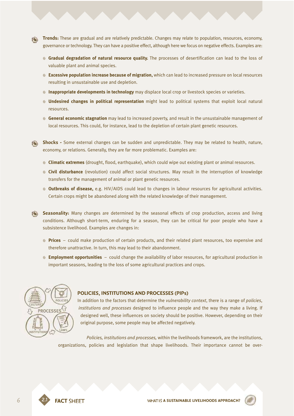- **Trends:** These are gradual and are relatively predictable. Changes may relate to population, resources, economy, governance or technology. They can have a positive effect, although here we focus on negative effects. Examples are:
	- **© Gradual degradation of natural resource quality.** The processes of desertification can lead to the loss of valuable plant and animal species.
	- ≠ **Excessive population increase because of migration,** which can lead to increased pressure on local resources resulting in unsustainable use and depletion.
	- ≠ **Inappropriate developments in technology** may displace local crop or livestock species or varieties.
	- ≠ **Undesired changes in political representation** might lead to political systems that exploit local natural resources.
	- **<b>**  General economic stagnation may lead to increased poverty, and result in the unsustainable management of local resources. This could, for instance, lead to the depletion of certain plant genetic resources.
- **Shocks** Some external changes can be sudden and unpredictable. They may be related to health, nature, economy, or relations. Generally, they are far more problematic. Examples are:
	- ≠ **Climatic extremes** (drought, flood, earthquake), which could wipe out existing plant or animal resources.
	- ≠ **Civil disturbance** (revolution) could affect social structures. May result in the interruption of knowledge transfers for the management of animal or plant genetic resources.
	- ≠ **Outbreaks of disease,** e.g. HIV/AIDS could lead to changes in labour resources for agricultural activities. Certain crops might be abandoned along with the related knowledge of their management.
- **Seasonality:** Many changes are determined by the seasonal effects of crop production, access and living conditions. Although short-term, enduring for a season, they can be critical for poor people who have a subsistence livelihood. Examples are changes in:
	- ≠ **Prices** could make production of certain products, and their related plant resources, too expensive and therefore unattractive. In turn, this may lead to their abandonment.
	- ≠ **Employment opportunities** could change the availability of labor resources, for agricultural production in important seasons, leading to the loss of some agricultural practices and crops.



#### **POLICIES, INSTITUTIONS AND PROCESSES (PIPs)**

In addition to the factors that determine the *vulnerability context*, there is a range of *policies*, *institutions and processes* designed to influence people and the way they make a living. If designed well, these influences on society should be positive. However, depending on their original purpose, some people may be affected negatively.

*Policies, institutions and processes,* within the livelihoods framework, are the institutions, organizations, policies and legislation that shape livelihoods. Their importance cannot be over-



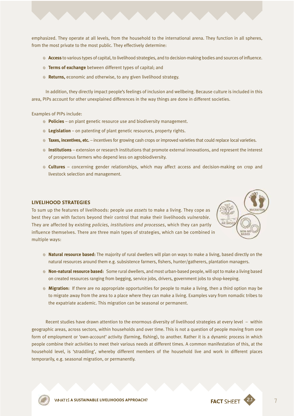emphasized. They operate at all levels, from the household to the international arena. They function in all spheres, from the most private to the most public. They effectively determine:

- **Access** to various types of capital, to livelihood strategies, and to decision-making bodies and sources of influence.
- ≠ **Terms of exchange** between different types of capital; and
- **Returns,** economic and otherwise, to any given livelihood strategy.

In addition, they directly impact people's feelings of inclusion and wellbeing. Because culture is included in this area, PIPs account for other unexplained differences in the way things are done in different societies.

Examples of PIPs include:

- ≠ **Policies** on plant genetic resource use and biodiversity management.
- ≠ **Legislation**  on patenting of plant genetic resources, property rights.
- **Taxes, incentives, etc.** incentives for growing cash crops or improved varieties that could replace local varieties.
- ≠ **Institutions** extension or research institutions that promote external innovations, and represent the interest of prosperous farmers who depend less on agrobiodiversity.
- ≠ **Cultures** concerning gender relationships, which may affect access and decision-making on crop and livestock selection and management.

#### **LIVELIHOOD STRATEGIES**

To sum up the features of livelihoods: people use *assets* to make a living. They cope as best they can with factors beyond their control that make their livelihoods *vulnerable*. They are affected by existing *policies, institutions and processes*, which they can partly influence themselves. There are three main types of strategies, which can be combined in multiple ways:



- ≠ **Natural resource based:** The majority of rural dwellers will plan on ways to make a living, based directly on the natural resources around them e.g. subsistence farmers, fishers, hunter/gatherers, plantation managers.
- ≠ **Non-natural resource based:** Some rural dwellers, and most urban-based people, will opt to make a living based on created resources ranging from begging, service jobs, drivers, government jobs to shop-keeping.
- ≠ **Migration:** If there are no appropriate opportunities for people to make a living, then a third option may be to migrate away from the area to a place where they can make a living. Examples vary from nomadic tribes to the expatriate academic. This migration can be seasonal or permanent.

Recent studies have drawn attention to the enormous diversity of livelihood strategies at every level – within geographic areas, across sectors, within households and over time. This is not a question of people moving from one form of employment or 'own-account' activity (farming, fishing), to another. Rather it is a dynamic process in which people combine their activities to meet their various needs at different times. A common manifestation of this, at the household level, is 'straddling', whereby different members of the household live and work in different places temporarily, e.g. seasonal migration, or permanently.

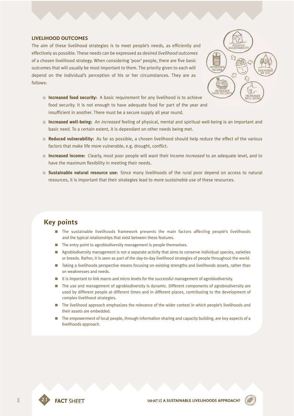#### **LIVELIHOOD OUTCOMES**

The aim of these livelihood strategies is to meet people's needs, as efficiently and effectively as possible. These needs can be expressed as desired *livelihood outcomes* of a chosen livelihood strategy. When considering 'poor' people, there are five basic outcomes that will usually be most important to them. The priority given to each will depend on the individual's perception of his or her circumstances. They are as follows:



- ≠ **Increased food security:** A basic requirement for any livelihood is to achieve food security. It is not enough to have adequate food for part of the year and insufficient in another. There must be a secure supply all year round.
- ≠ **Increased well-being:** An *increased* feeling of physical, mental and spiritual well-being is an important and basic need. To a certain extent, it is dependant on other needs being met.
- ≠ **Reduced vulnerability:** As far as possible, a chosen livelihood should help *reduce* the effect of the various factors that make life more vulnerable, e.g. drought, conflict.
- ≠ **Increased income:** Clearly, most poor people will want their income *increased* to an adequate level, and to have the maximum flexibility in meeting their needs.
- **Sustainable natural resource use:** Since many livelihoods of the rural poor depend on access to natural resources, it is important that their strategies lead to *more sustainable* use of these resources.

### **Key points**

- $\blacksquare$  The sustainable livelihoods framework presents the main factors affecting people's livelihoods and the typical relationships that exist between these features.
- **n** The entry point to agrobiodiversity management is people themselves.
- **EXECT:** Agrobiodiversity management is not a separate activity that aims to conserve individual species, varieties or breeds. Rather, it is seen as part of the day-to-day livelihood strategies of people throughout the world.
- $\blacksquare$  Taking a livelihoods perspective means focusing on existing strengths and livelihoods assets, rather than on weaknesses and needs.
- **1** It is important to link macro and micro levels for the successful management of agrobiodiversity.
- $\blacksquare$  The use and management of agrobiodiversity is dynamic. Different components of agrobiodiversity are used by different people at different times and in different places, contributing to the development of complex livelihood strategies.
- **n** The livelihood approach emphasizes the relevance of the wider context in which people's livelihoods and their assets are embedded.
- **n** The empowerment of local people, through information sharing and capacity building, are key aspects of a livelihoods approach.

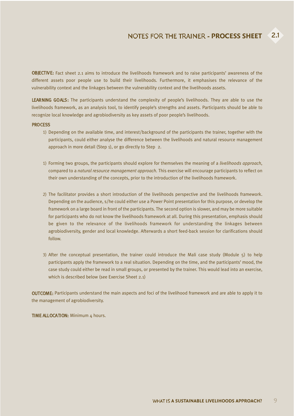OBJECTIVE: Fact sheet 2.1 aims to introduce the livelihoods framework and to raise participants' awareness of the different assets poor people use to build their livelihoods. Furthermore, it emphasises the relevance of the vulnerability context and the linkages between the vulnerability context and the livelihoods assets.

LEARNING GOALS: The participants understand the complexity of people's livelihoods. They are able to use the livelihoods framework, as an analysis tool, to identify people's strengths and assets. Participants should be able to recognize local knowledge and agrobiodiversity as key assets of poor people's livelihoods.

#### **PROCESS**

- 1) Depending on the available time, and interest/background of the participants the trainer, together with the participants, could either analyse the difference between the livelihoods and natural resource management approach in more detail (Step 1), or go directly to Step 2.
- 1) Forming two groups, the participants should explore for themselves the meaning of a *livelihoods approach*, compared to a *natural resource management approach.* This exercise will encourage participants to reflect on their own understanding of the concepts, prior to the introduction of the livelihoods framework.
- 2) The facilitator provides a short introduction of the livelihoods perspective and the livelihoods framework. Depending on the audience, s/he could either use a Power Point presentation for this purpose, or develop the framework on a large board in front of the participants. The second option is slower, and may be more suitable for participants who do not know the livelihoods framework at all. During this presentation, emphasis should be given to the relevance of the livelihoods framework for understanding the linkages between agrobiodiversity, gender and local knowledge. Afterwards a short feed-back session for clarifications should follow.
- 3) After the conceptual presentation, the trainer could introduce the Mali case study (Module 5) to help participants apply the framework to a real situation. Depending on the time, and the participants' mood, the case study could either be read in small groups, or presented by the trainer. This would lead into an exercise, which is described below (see Exercise Sheet 2.1)

OUTCOME: Participants understand the main aspects and foci of the livelihood framework and are able to apply it to the management of agrobiodiversity.

TIME ALLOCATION: Minimum 4 hours.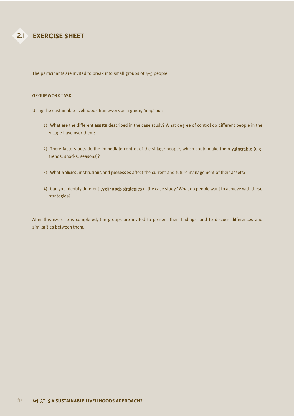

The participants are invited to break into small groups of  $4-5$  people.

#### GROUP WORK TASK:

Using the sustainable livelihoods framework as a guide, 'map' out:

- 1) What are the different assets described in the case study? What degree of control do different people in the village have over them?
- 2) There factors outside the immediate control of the village people, which could make them vulnerable (e.g. trends, shocks, seasons)?
- 3) What policies, institutions and processes affect the current and future management of their assets?
- 4) Can you identify different livelihoods strategies in the case study? What do people want to achieve with these strategies?

After this exercise is completed, the groups are invited to present their findings, and to discuss differences and similarities between them.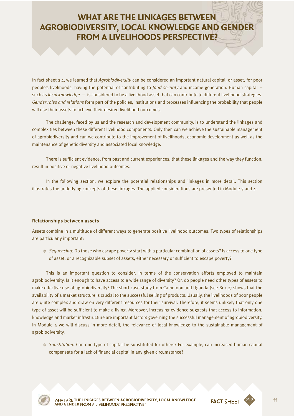## **WHAT ARE THE LINKAGES BETWEEN AGROBIODIVERSITY, LOCAL KNOWLEDGE AND GENDER FROM A LIVELIHOODS PERSPECTIVE?**

In fact sheet 2.1, we learned that *Agrobiodiversity* can be considered an important natural capital, or asset, for poor people's livelihoods, having the potential of contributing to *food security* and income generation. Human capital – such as *local knowledge* – is considered to be a livelihood asset that can contribute to different livelihood strategies. *Gender roles and relations* form part of the policies, institutions and processes influencing the probability that people will use their assets to achieve their desired livelihood outcomes.

The challenge, faced by us and the research and development community, is to understand the linkages and complexities between these different livelihood components. Only then can we achieve the sustainable management of agrobiodiversity and can we contribute to the improvement of livelihoods, economic development as well as the maintenance of genetic diversity and associated local knowledge.

There is sufficient evidence, from past and current experiences, that these linkages and the way they function, result in positive or negative livelihood outcomes.

In the following section, we explore the potential relationships and linkages in more detail. This section illustrates the underlying concepts of these linkages. The applied considerations are presented in Module 3 and 4.

#### **Relationships between assets**

Assets combine in a multitude of different ways to generate positive livelihood outcomes. Two types of relationships are particularly important:

≠ *Sequencing:* Do those who escape poverty start with a particular combination of assets? Is access to one type of asset, or a recognizable subset of assets, either necessary or sufficient to escape poverty?

This is an important question to consider, in terms of the conservation efforts employed to maintain agrobiodiversity. Is it enough to have access to a wide range of diversity? Or, do people need other types of assets to make effective use of agrobiodiversity? The short case study from Cameroon and Uganda (see Box 2) shows that the availability of a market structure is crucial to the successful selling of products. Usually, the livelihoods of poor people are quite complex and draw on very different resources for their survival. Therefore, it seems unlikely that only one type of asset will be sufficient to make a living. Moreover, increasing evidence suggests that access to information, knowledge and market infrastructure are important factors governing the successful management of agrobiodiversity. In Module  $4$  we will discuss in more detail, the relevance of local knowledge to the sustainable management of agrobiodiversity.

≠ *Substitution:* Can one type of capital be substituted for others? For example, can increased human capital compensate for a lack of financial capital in any given circumstance?



2.2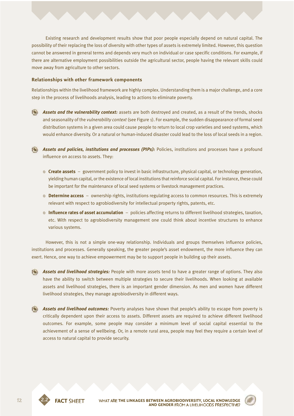Existing research and development results show that poor people especially depend on natural capital. The possibility of their replacing the loss of diversity with other types of assets is extremely limited. However, this question cannot be answered in general terms and depends very much on individual or case specific conditions. For example, if there are alternative employment possibilities outside the agricultural sector, people having the relevant skills could move away from agriculture to other sectors.

#### **Relationships with other framework components**

Relationships within the livelihood framework are highly complex. Understanding them is a major challenge, and a core step in the process of livelihoods analysis, leading to actions to eliminate poverty.

- **Assets and the vulnerability context:** assets are both destroyed and created, as a result of the trends, shocks and seasonality of the *vulnerability context* (see Figure 1). For example, the sudden disappearance of formal seed distribution systems in a given area could cause people to return to local crop varieties and seed systems, which would enhance diversity. Or a natural or human-induced disaster could lead to the loss of local seeds in a region.
- **Assets and policies, institutions and processes (PIPs):** Policies, institutions and processes have a profound influence on access to assets. They:
	- ≠ **Create assets** government policy to invest in basic infrastructure, physical capital, or technology generation, yielding human capital, or the existence of local institutions that reinforce social capital. For instance, these could be important for the maintenance of local seed systems or livestock management practices.
	- ≠ **Determine access** ownership rights, institutions regulating access to common resources. This is extremely relevant with respect to agrobiodiversity for intellectual property rights, patents, etc.
	- ≠ **Influence rates of asset accumulation** policies affecting returns to different livelihood strategies, taxation, etc. With respect to agrobiodiversity management one could think about incentive structures to enhance various systems.

However, this is not a simple one-way relationship. Individuals and groups themselves influence policies, institutions and processes. Generally speaking, the greater people's asset endowment, the more influence they can exert. Hence, one way to achieve empowerment may be to support people in building up their assets.

- *Assets and livelihood strategies:* People with more assets tend to have a greater range of options. They also  $\bullet$ have the ability to switch between multiple strategies to secure their livelihoods. When looking at available assets and livelihood strategies, there is an important gender dimension. As men and women have different livelihood strategies, they manage agrobiodiversity in different ways.
- **Assets and livelihood outcomes:** Poverty analyses have shown that people's ability to escape from poverty is critically dependent upon their access to assets. Different assets are required to achieve different livelihood outcomes. For example, some people may consider a minimum level of social capital essential to the achievement of a sense of wellbeing. Or, in a remote rural area, people may feel they require a certain level of access to natural capital to provide security.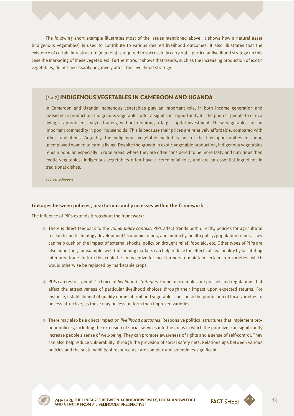The following short example illustrates most of the issues mentioned above. It shows how a natural asset (indigenous vegetables) is used to contribute to various desired livelihood outcomes. It also illustrates that the existence of certain infrastructure (markets) is required to successfully carry out a particular livelihood strategy (in this case the marketing of these vegetables). Furthermore, it shows that trends, such as the increasing production of exotic vegetables, do not necessarily negatively affect this livelihood strategy.

#### [Box 2] **INDIGENOUS VEGETABLES IN CAMEROON AND UGANDA**

In Cameroon and Uganda indigenous vegetables play an important role, in both income generation and subsistence production. Indigenous vegetables offer a significant opportunity for the poorest people to earn a living, as producers and/or traders, without requiring a large capital investment. These vegetables are an important commodity in poor households. This is because their prices are relatively affordable, compared with other food items. Arguably, the indigenous vegetable market is one of the few opportunities for poor, unemployed women to earn a living. Despite the growth in exotic vegetable production, indigenous vegetables remain popular, especially in rural areas, where they are often considered to be more tasty and nutritious than exotic vegetables. Indigenous vegetables often have a ceremonial role, and are an essential ingredient in traditional dishes.

*Source: Schippers*

#### **Linkages between policies, institutions and processes within the framework**

The influence of PIPs extends throughout the framework:

- ≠ There is direct feedback to the *vulnerability context*. PIPs affect trends both directly, policies for agricultural research and technology development/economic trends, and indirectly, health policy/population trends. They can help cushion the impact of external shocks, policy on drought relief, food aid, etc. Other types of PIPs are also important, for example, well-functioning markets can help reduce the effects of seasonality by facilitating inter-area trade. In turn this could be an incentive for local farmers to maintain certain crop varieties, which would otherwise be replaced by marketable crops.
- ≠ PIPs can restrict people's choice of *livelihood strategies*. Common examples are policies and regulations that affect the attractiveness of particular livelihood choices through their impact upon expected returns. For instance, establishment of quality norms of fruit and vegetables can cause the production of local varieties to be less attractive, as these may be less uniform than improved varieties.
- ≠ There may also be a direct impact on *livelihood outcomes*. Responsive political structures that implement propoor policies, including the extension of social services into the areas in which the poor live, can significantly increase people's sense of well-being. They can promote awareness of rights and a sense of self-control. They can also help reduce vulnerability, through the provision of social safety nets. Relationships between various policies and the sustainability of resource use are complex and sometimes significant.



**FACT THE LINKAGES BETWEEN AGROBIODIVERSITY, LOCAL KNOWLEDGE AND GENDER** 

2.2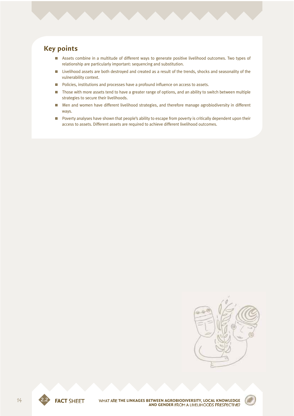### **Key points**

- **EXECT** Assets combine in a multitude of different ways to generate positive livelihood outcomes. Two types of relationship are particularly important: sequencing and substitution.
- $\blacksquare$  Livelihood assets are both destroyed and created as a result of the trends, shocks and seasonality of the vulnerability context.
- $\blacksquare$  Policies, institutions and processes have a profound influence on access to assets.
- **DENT** Those with more assets tend to have a greater range of options, and an ability to switch between multiple strategies to secure their livelihoods.
- 0 Men and women have different livelihood strategies, and therefore manage agrobiodiversity in different ways.
- Poverty analyses have shown that people's ability to escape from poverty is critically dependent upon their access to assets. Different assets are required to achieve different livelihood outcomes.





2.2 **THE LINKAGES BETWEEN AGROBIODIVERSITY, LOCAL KNOWLEDGE AND GENDER FROM A LIVELIHOODS PRESPECTIVE?** 

**FACT SHEET**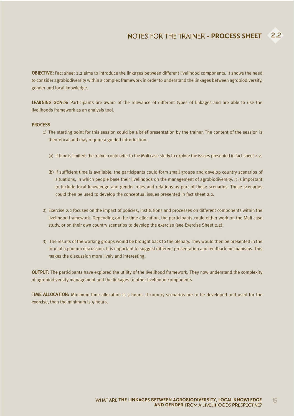OBJECTIVE: Fact sheet 2.2 aims to introduce the linkages between different livelihood components. It shows the need to consider agrobiodiversity within a complex framework in order to understand the linkages between agrobiodiversity, gender and local knowledge.

LEARNING GOALS: Participants are aware of the relevance of different types of linkages and are able to use the livelihoods framework as an analysis tool.

#### **PROCESS**

- 1) The starting point for this session could be a brief presentation by the trainer. The content of the session is theoretical and may require a guided introduction.
	- (a) If time is limited, the trainer could refer to the Mali case study to explore the issues presented in fact sheet 2.2.
	- (b) If sufficient time is available, the participants could form small groups and develop country scenarios of situations, in which people base their livelihoods on the management of agrobiodiversity. It is important to include local knowledge and gender roles and relations as part of these scenarios. These scenarios could then be used to develop the conceptual issues presented in fact sheet 2.2.
- 2) Exercise 2.2 focuses on the impact of policies, institutions and processes on different components within the livelihood framework. Depending on the time allocation, the participants could either work on the Mali case study, or on their own country scenarios to develop the exercise (see Exercise Sheet 2.2).
- 3) The results of the working groups would be brought back to the plenary. They would then be presented in the form of a podium discussion. It is important to suggest different presentation and feedback mechanisms. This makes the discussion more lively and interesting.

OUTPUT: The participants have explored the utility of the livelihood framework. They now understand the complexity of agrobiodiversity management and the linkages to other livelihood components.

TIME ALLOCATION: Minimum time allocation is 3 hours. If country scenarios are to be developed and used for the exercise, then the minimum is 5 hours.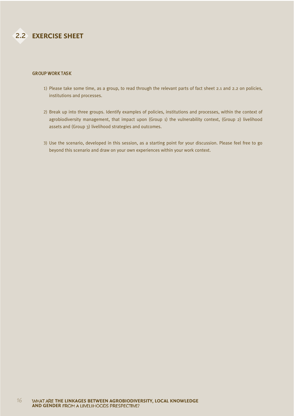#### GROUP WORK TASK

- 1) Please take some time, as a group, to read through the relevant parts of fact sheet 2.1 and 2.2 on policies, institutions and processes.
- 2) Break up into three groups. Identify examples of policies, institutions and processes, within the context of agrobiodiversity management, that impact upon (Group 1) the vulnerability context, (Group 2) livelihood assets and (Group 3) livelihood strategies and outcomes.
- 3) Use the scenario, developed in this session, as a starting point for your discussion. Please feel free to go beyond this scenario and draw on your own experiences within your work context.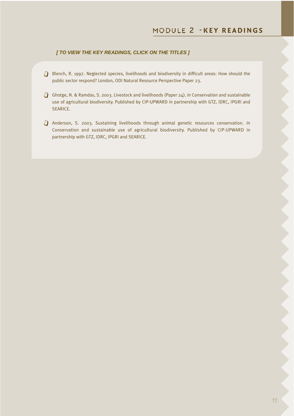#### *[ TO VIEW THE KEY READINGS, CLICK ON THE TITLES ]*

- $j$  Blench, R. 1997. Neglected species, livelihoods and biodiversity in difficult areas: How should the public sector respond? London, ODI Natural Resource Perspective Paper 23.
- j Ghotge, N. & Ramdas, S. 2003. Livestock and livelihoods (Paper 24). *In* Conservation and sustainable use of agricultural biodiversity. Published by CIP-UPWARD in partnership with GTZ, IDRC, IPGRI and SEARICE.
- j Anderson, S. 2003. Sustaining livelihoods through animal genetic resources conservation. *In* Conservation and sustainable use of agricultural biodiversity. Published by CIP-UPWARD in partnership with GTZ, IDRC, IPGRI and SEARICE.